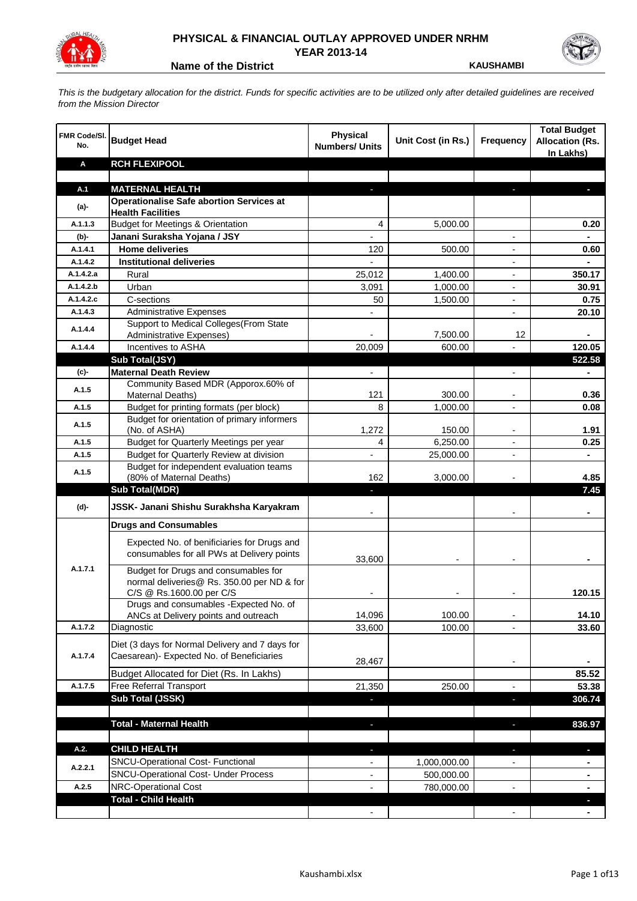

## **PHYSICAL & FINANCIAL OUTLAY APPROVED UNDER NRHM YEAR 2013-14**

**Name of the District <b>KAUSHAMBI** 

*This is the budgetary allocation for the district. Funds for specific activities are to be utilized only after detailed guidelines are received from the Mission Director*

| <b>FMR Code/SI.</b><br>No. | <b>Budget Head</b>                                                                                             | Physical<br><b>Numbers/ Units</b> | Unit Cost (in Rs.) | <b>Frequency</b>         | <b>Total Budget</b><br><b>Allocation (Rs.</b><br>In Lakhs) |
|----------------------------|----------------------------------------------------------------------------------------------------------------|-----------------------------------|--------------------|--------------------------|------------------------------------------------------------|
| Α                          | <b>RCH FLEXIPOOL</b>                                                                                           |                                   |                    |                          |                                                            |
|                            |                                                                                                                |                                   |                    |                          |                                                            |
| A.1                        | <b>MATERNAL HEALTH</b>                                                                                         |                                   |                    |                          |                                                            |
| $(a)$ -                    | <b>Operationalise Safe abortion Services at</b><br><b>Health Facilities</b>                                    |                                   |                    |                          |                                                            |
| A.1.1.3                    | <b>Budget for Meetings &amp; Orientation</b>                                                                   | 4                                 | 5,000.00           |                          | 0.20                                                       |
| (b)-                       | Janani Suraksha Yojana / JSY                                                                                   |                                   |                    |                          |                                                            |
| A.1.4.1                    | <b>Home deliveries</b>                                                                                         | 120                               | 500.00             |                          | 0.60                                                       |
| A.1.4.2                    | <b>Institutional deliveries</b>                                                                                |                                   |                    |                          |                                                            |
| A.1.4.2.a                  | Rural                                                                                                          | 25,012                            | 1,400.00           |                          | 350.17                                                     |
| A.1.4.2.b                  | Urban                                                                                                          | 3,091                             | 1,000.00           | $\overline{\phantom{a}}$ | 30.91                                                      |
| A.1.4.2.c                  | C-sections                                                                                                     | 50                                | 1,500.00           | $\overline{\phantom{a}}$ | 0.75                                                       |
| A.1.4.3                    | <b>Administrative Expenses</b>                                                                                 |                                   |                    | $\overline{a}$           | 20.10                                                      |
| A.1.4.4                    | Support to Medical Colleges(From State                                                                         |                                   |                    |                          |                                                            |
|                            | Administrative Expenses)                                                                                       |                                   | 7,500.00           | 12                       |                                                            |
| A.1.4.4                    | Incentives to ASHA                                                                                             | 20,009                            | 600.00             |                          | 120.05                                                     |
|                            | Sub Total(JSY)                                                                                                 |                                   |                    |                          | 522.58                                                     |
| (c)-                       | <b>Maternal Death Review</b>                                                                                   | $\overline{\phantom{a}}$          |                    | $\overline{\phantom{a}}$ |                                                            |
| A.1.5                      | Community Based MDR (Apporox.60% of<br>Maternal Deaths)                                                        | 121                               | 300.00             |                          | 0.36                                                       |
| A.1.5                      | Budget for printing formats (per block)                                                                        | 8                                 | 1,000.00           |                          | 0.08                                                       |
|                            | Budget for orientation of primary informers                                                                    |                                   |                    |                          |                                                            |
| A.1.5                      | (No. of ASHA)                                                                                                  | 1,272                             | 150.00             |                          | 1.91                                                       |
| A.1.5                      | Budget for Quarterly Meetings per year                                                                         | 4                                 | 6,250.00           |                          | 0.25                                                       |
| A.1.5                      | Budget for Quarterly Review at division                                                                        |                                   | 25,000.00          |                          |                                                            |
| A.1.5                      | Budget for independent evaluation teams                                                                        |                                   |                    |                          |                                                            |
|                            | (80% of Maternal Deaths)                                                                                       | 162                               | 3,000.00           |                          | 4.85                                                       |
|                            | <b>Sub Total(MDR)</b>                                                                                          |                                   |                    |                          | 7.45                                                       |
| (d)-                       | JSSK- Janani Shishu Surakhsha Karyakram                                                                        |                                   |                    |                          |                                                            |
|                            | <b>Drugs and Consumables</b>                                                                                   |                                   |                    |                          |                                                            |
|                            | Expected No. of benificiaries for Drugs and<br>consumables for all PWs at Delivery points                      | 33,600                            |                    |                          |                                                            |
| A.1.7.1                    | Budget for Drugs and consumables for<br>normal deliveries@ Rs. 350.00 per ND & for<br>C/S @ Rs.1600.00 per C/S |                                   |                    |                          | 120.15                                                     |
|                            | Drugs and consumables - Expected No. of                                                                        |                                   |                    |                          |                                                            |
|                            | ANCs at Delivery points and outreach                                                                           | 14,096                            | 100.00             |                          | 14.10                                                      |
| A.1.7.2                    | Diagnostic                                                                                                     | 33,600                            | 100.00             |                          | 33.60                                                      |
| A.1.7.4                    | Diet (3 days for Normal Delivery and 7 days for<br>Caesarean)- Expected No. of Beneficiaries                   | 28,467                            |                    | $\overline{\phantom{a}}$ |                                                            |
|                            | Budget Allocated for Diet (Rs. In Lakhs)                                                                       |                                   |                    |                          | 85.52                                                      |
| A.1.7.5                    | Free Referral Transport                                                                                        | 21,350                            | 250.00             | $\blacksquare$           | 53.38                                                      |
|                            | Sub Total (JSSK)                                                                                               |                                   |                    | J,                       | 306.74                                                     |
|                            |                                                                                                                |                                   |                    |                          |                                                            |
|                            | <b>Total - Maternal Health</b>                                                                                 |                                   |                    |                          | 836.97                                                     |
| A.2.                       | <b>CHILD HEALTH</b>                                                                                            |                                   |                    |                          | a.                                                         |
|                            | SNCU-Operational Cost- Functional                                                                              |                                   | 1,000,000.00       |                          |                                                            |
| A.2.2.1                    | <b>SNCU-Operational Cost- Under Process</b>                                                                    |                                   | 500,000.00         |                          |                                                            |
| A.2.5                      | NRC-Operational Cost                                                                                           |                                   | 780,000.00         |                          |                                                            |
|                            | <b>Total - Child Health</b>                                                                                    |                                   |                    |                          |                                                            |
|                            |                                                                                                                |                                   |                    |                          |                                                            |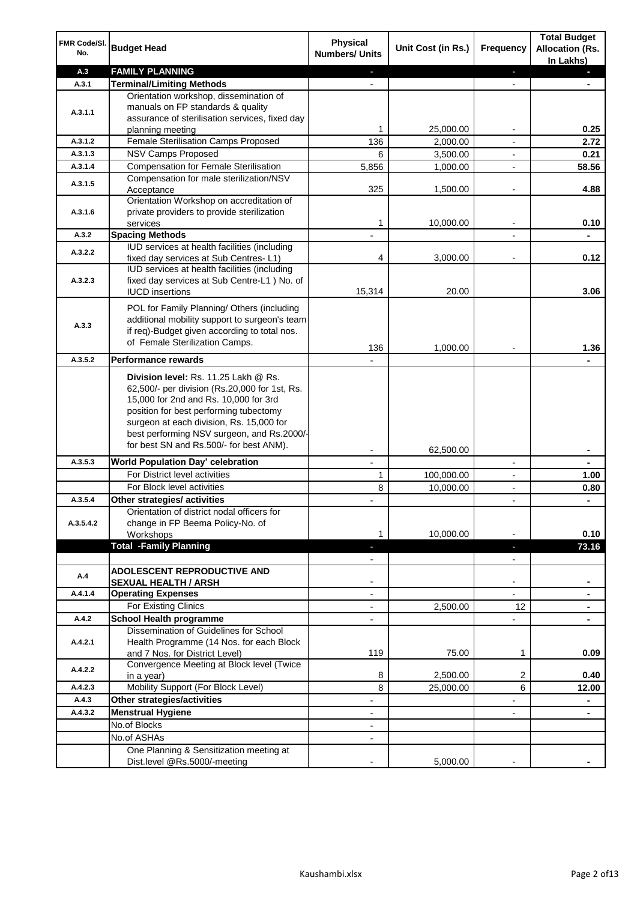| FMR Code/SI.<br>No. | <b>Budget Head</b>                                                                                                                                                                                                                                                 | <b>Physical</b><br><b>Numbers/ Units</b> | Unit Cost (in Rs.) | <b>Frequency</b>         | <b>Total Budget</b><br><b>Allocation (Rs.</b><br>In Lakhs) |
|---------------------|--------------------------------------------------------------------------------------------------------------------------------------------------------------------------------------------------------------------------------------------------------------------|------------------------------------------|--------------------|--------------------------|------------------------------------------------------------|
| A.3                 | <b>FAMILY PLANNING</b>                                                                                                                                                                                                                                             | $\sim$                                   |                    | ÷.                       | a.                                                         |
| A.3.1               | <b>Terminal/Limiting Methods</b>                                                                                                                                                                                                                                   |                                          |                    | $\blacksquare$           |                                                            |
|                     | Orientation workshop, dissemination of                                                                                                                                                                                                                             |                                          |                    |                          |                                                            |
| A.3.1.1             | manuals on FP standards & quality                                                                                                                                                                                                                                  |                                          |                    |                          |                                                            |
|                     | assurance of sterilisation services, fixed day<br>planning meeting                                                                                                                                                                                                 | 1                                        | 25,000.00          | $\overline{\phantom{a}}$ | 0.25                                                       |
| A.3.1.2             | Female Sterilisation Camps Proposed                                                                                                                                                                                                                                | 136                                      | 2,000.00           | $\overline{\phantom{a}}$ | 2.72                                                       |
| A.3.1.3             | <b>NSV Camps Proposed</b>                                                                                                                                                                                                                                          | 6                                        | 3,500.00           | $\overline{\phantom{a}}$ | 0.21                                                       |
| A.3.1.4             | <b>Compensation for Female Sterilisation</b>                                                                                                                                                                                                                       | 5,856                                    | 1,000.00           |                          | 58.56                                                      |
|                     | Compensation for male sterilization/NSV                                                                                                                                                                                                                            |                                          |                    |                          |                                                            |
| A.3.1.5             | Acceptance                                                                                                                                                                                                                                                         | 325                                      | 1,500.00           |                          | 4.88                                                       |
|                     | Orientation Workshop on accreditation of                                                                                                                                                                                                                           |                                          |                    |                          |                                                            |
| A.3.1.6             | private providers to provide sterilization                                                                                                                                                                                                                         |                                          |                    |                          |                                                            |
|                     | services                                                                                                                                                                                                                                                           | 1                                        | 10,000.00          |                          | 0.10                                                       |
| A.3.2               | <b>Spacing Methods</b>                                                                                                                                                                                                                                             |                                          |                    |                          |                                                            |
| A.3.2.2             | IUD services at health facilities (including                                                                                                                                                                                                                       | 4                                        | 3,000.00           | $\overline{\phantom{a}}$ | 0.12                                                       |
|                     | fixed day services at Sub Centres-L1)<br>IUD services at health facilities (including                                                                                                                                                                              |                                          |                    |                          |                                                            |
| A.3.2.3             | fixed day services at Sub Centre-L1 ) No. of                                                                                                                                                                                                                       |                                          |                    |                          |                                                            |
|                     | <b>IUCD</b> insertions                                                                                                                                                                                                                                             | 15,314                                   | 20.00              |                          | 3.06                                                       |
|                     | POL for Family Planning/ Others (including                                                                                                                                                                                                                         |                                          |                    |                          |                                                            |
|                     | additional mobility support to surgeon's team                                                                                                                                                                                                                      |                                          |                    |                          |                                                            |
| A.3.3               | if req)-Budget given according to total nos.                                                                                                                                                                                                                       |                                          |                    |                          |                                                            |
|                     | of Female Sterilization Camps.                                                                                                                                                                                                                                     |                                          |                    |                          |                                                            |
| A.3.5.2             | <b>Performance rewards</b>                                                                                                                                                                                                                                         | 136                                      | 1,000.00           |                          | 1.36                                                       |
|                     |                                                                                                                                                                                                                                                                    |                                          |                    |                          |                                                            |
|                     | Division level: Rs. 11.25 Lakh @ Rs.<br>62,500/- per division (Rs.20,000 for 1st, Rs.<br>15,000 for 2nd and Rs. 10,000 for 3rd<br>position for best performing tubectomy<br>surgeon at each division, Rs. 15,000 for<br>best performing NSV surgeon, and Rs.2000/- |                                          |                    |                          |                                                            |
|                     | for best SN and Rs.500/- for best ANM).                                                                                                                                                                                                                            |                                          |                    |                          |                                                            |
|                     |                                                                                                                                                                                                                                                                    | $\overline{\phantom{a}}$                 | 62,500.00          |                          | ٠                                                          |
| A.3.5.3             | World Population Day' celebration                                                                                                                                                                                                                                  | $\overline{\phantom{a}}$                 |                    | $\overline{\phantom{a}}$ | ۰                                                          |
|                     | For District level activities<br>For Block level activities                                                                                                                                                                                                        | 1                                        | 100,000.00         | $\overline{\phantom{a}}$ | 1.00                                                       |
| A.3.5.4             | Other strategies/ activities                                                                                                                                                                                                                                       | 8                                        | 10,000.00          | $\overline{\phantom{a}}$ | 0.80<br>÷.                                                 |
|                     | Orientation of district nodal officers for                                                                                                                                                                                                                         |                                          |                    |                          |                                                            |
| A.3.5.4.2           | change in FP Beema Policy-No. of                                                                                                                                                                                                                                   |                                          |                    |                          |                                                            |
|                     | Workshops                                                                                                                                                                                                                                                          | 1                                        | 10,000.00          |                          | 0.10                                                       |
|                     | <b>Total -Family Planning</b>                                                                                                                                                                                                                                      | ÷.                                       |                    | $\overline{\phantom{a}}$ | 73.16                                                      |
|                     |                                                                                                                                                                                                                                                                    | $\overline{\phantom{a}}$                 |                    | $\blacksquare$           |                                                            |
| A.4                 | <b>ADOLESCENT REPRODUCTIVE AND</b>                                                                                                                                                                                                                                 |                                          |                    |                          |                                                            |
|                     | <b>SEXUAL HEALTH / ARSH</b>                                                                                                                                                                                                                                        |                                          |                    | $\blacksquare$           |                                                            |
| A.4.1.4             | <b>Operating Expenses</b>                                                                                                                                                                                                                                          |                                          |                    |                          |                                                            |
|                     | For Existing Clinics                                                                                                                                                                                                                                               |                                          | 2,500.00           | 12                       |                                                            |
| A.4.2               | <b>School Health programme</b>                                                                                                                                                                                                                                     |                                          |                    |                          |                                                            |
| A.4.2.1             | Dissemination of Guidelines for School<br>Health Programme (14 Nos. for each Block<br>and 7 Nos. for District Level)                                                                                                                                               | 119                                      | 75.00              | 1                        | 0.09                                                       |
|                     | Convergence Meeting at Block level (Twice                                                                                                                                                                                                                          |                                          |                    |                          |                                                            |
| A.4.2.2             | in a year)                                                                                                                                                                                                                                                         | 8                                        | 2,500.00           | 2                        | 0.40                                                       |
| A.4.2.3             | Mobility Support (For Block Level)                                                                                                                                                                                                                                 | 8                                        | 25,000.00          | 6                        | 12.00                                                      |
| A.4.3               | Other strategies/activities                                                                                                                                                                                                                                        | $\overline{\phantom{a}}$                 |                    | -                        | ۰                                                          |
| A.4.3.2             | <b>Menstrual Hygiene</b>                                                                                                                                                                                                                                           | $\overline{\phantom{a}}$                 |                    | $\blacksquare$           | $\blacksquare$                                             |
|                     | No.of Blocks                                                                                                                                                                                                                                                       | $\overline{\phantom{a}}$                 |                    |                          |                                                            |
|                     | No.of ASHAs                                                                                                                                                                                                                                                        |                                          |                    |                          |                                                            |
|                     | One Planning & Sensitization meeting at                                                                                                                                                                                                                            |                                          |                    |                          |                                                            |
|                     | Dist.level @Rs.5000/-meeting                                                                                                                                                                                                                                       |                                          | 5,000.00           |                          |                                                            |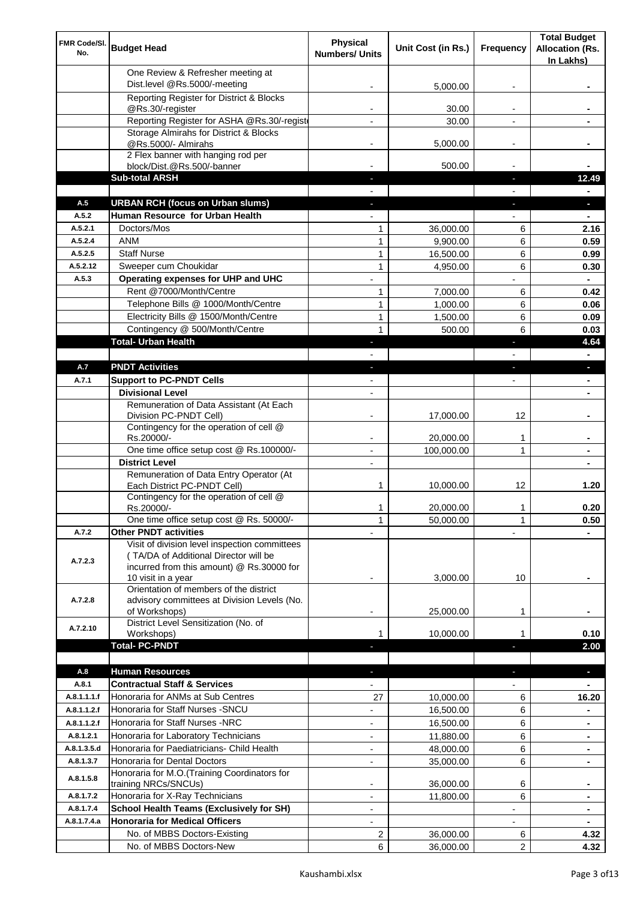| FMR Code/SI.<br>No. | <b>Budget Head</b>                                                                                                                                        | <b>Physical</b><br><b>Numbers/ Units</b> | Unit Cost (in Rs.) | Frequency                | <b>Total Budget</b><br><b>Allocation (Rs.</b><br>In Lakhs) |
|---------------------|-----------------------------------------------------------------------------------------------------------------------------------------------------------|------------------------------------------|--------------------|--------------------------|------------------------------------------------------------|
|                     | One Review & Refresher meeting at<br>Dist.level @Rs.5000/-meeting                                                                                         |                                          | 5,000.00           |                          |                                                            |
|                     | Reporting Register for District & Blocks                                                                                                                  |                                          |                    |                          |                                                            |
|                     | @Rs.30/-register                                                                                                                                          |                                          | 30.00              |                          |                                                            |
|                     | Reporting Register for ASHA @Rs.30/-regist                                                                                                                |                                          | 30.00              |                          |                                                            |
|                     | Storage Almirahs for District & Blocks                                                                                                                    |                                          |                    |                          |                                                            |
|                     | @Rs.5000/- Almirahs<br>2 Flex banner with hanging rod per                                                                                                 | $\blacksquare$                           | 5,000.00           | $\overline{\phantom{a}}$ |                                                            |
|                     | block/Dist.@Rs.500/-banner                                                                                                                                |                                          | 500.00             |                          |                                                            |
|                     | <b>Sub-total ARSH</b>                                                                                                                                     |                                          |                    | P.                       | 12.49                                                      |
| A.5                 | <b>URBAN RCH (focus on Urban slums)</b>                                                                                                                   |                                          |                    |                          | a.                                                         |
| A.5.2               | Human Resource for Urban Health                                                                                                                           |                                          |                    |                          |                                                            |
| A.5.2.1             | Doctors/Mos                                                                                                                                               | 1                                        | 36,000.00          | 6                        | 2.16                                                       |
| A.5.2.4             | <b>ANM</b>                                                                                                                                                | 1                                        | 9,900.00           | 6                        | 0.59                                                       |
| A.5.2.5             | <b>Staff Nurse</b>                                                                                                                                        | 1                                        | 16,500.00          | 6                        | 0.99                                                       |
| A.5.2.12            | Sweeper cum Choukidar                                                                                                                                     | $\mathbf{1}$                             | 4,950.00           | 6                        | 0.30                                                       |
| A.5.3               | <b>Operating expenses for UHP and UHC</b>                                                                                                                 |                                          |                    |                          | $\blacksquare$                                             |
|                     | Rent @7000/Month/Centre                                                                                                                                   | 1                                        | 7,000.00           | 6                        | 0.42                                                       |
|                     | Telephone Bills @ 1000/Month/Centre<br>Electricity Bills @ 1500/Month/Centre                                                                              | $\mathbf{1}$                             | 1,000.00           | 6                        | 0.06                                                       |
|                     |                                                                                                                                                           | $\mathbf{1}$<br>$\mathbf{1}$             | 1,500.00           | 6                        | 0.09                                                       |
|                     | Contingency @ 500/Month/Centre<br><b>Total- Urban Health</b>                                                                                              |                                          | 500.00             | 6                        | 0.03<br>4.64                                               |
|                     |                                                                                                                                                           | $\overline{\phantom{a}}$                 |                    | F                        | $\blacksquare$                                             |
| A.7                 | <b>PNDT Activities</b>                                                                                                                                    | $\blacksquare$                           |                    | ٠                        | ×.                                                         |
| A.7.1               | <b>Support to PC-PNDT Cells</b>                                                                                                                           | $\overline{\phantom{a}}$                 |                    | $\overline{\phantom{a}}$ | ۰                                                          |
|                     | <b>Divisional Level</b>                                                                                                                                   | $\blacksquare$                           |                    |                          | ۰                                                          |
|                     | Remuneration of Data Assistant (At Each                                                                                                                   |                                          |                    |                          |                                                            |
|                     | Division PC-PNDT Cell)                                                                                                                                    |                                          | 17,000.00          | 12                       |                                                            |
|                     | Contingency for the operation of cell @<br>Rs.20000/-                                                                                                     |                                          | 20,000.00          | 1                        |                                                            |
|                     | One time office setup cost @ Rs.100000/-                                                                                                                  |                                          | 100,000.00         | 1                        |                                                            |
|                     | <b>District Level</b>                                                                                                                                     | $\blacksquare$                           |                    |                          |                                                            |
|                     | Remuneration of Data Entry Operator (At                                                                                                                   |                                          |                    |                          |                                                            |
|                     | Each District PC-PNDT Cell)<br>Contingency for the operation of cell @                                                                                    | 1                                        | 10,000.00          | 12                       | 1.20                                                       |
|                     | Rs.20000/-                                                                                                                                                | 1                                        | 20,000.00          | 1                        | 0.20                                                       |
|                     | One time office setup cost @ Rs. 50000/-                                                                                                                  | $\mathbf{1}$                             | 50,000.00          | 1                        | 0.50                                                       |
| A.7.2               | <b>Other PNDT activities</b>                                                                                                                              |                                          |                    |                          |                                                            |
| A.7.2.3             | Visit of division level inspection committees<br>(TA/DA of Additional Director will be<br>incurred from this amount) @ Rs.30000 for<br>10 visit in a year |                                          | 3,000.00           | 10                       |                                                            |
| A.7.2.8             | Orientation of members of the district<br>advisory committees at Division Levels (No.<br>of Workshops)                                                    | $\overline{\phantom{a}}$                 | 25,000.00          | 1                        |                                                            |
| A.7.2.10            | District Level Sensitization (No. of<br>Workshops)                                                                                                        |                                          | 10,000.00          |                          | 0.10                                                       |
|                     | <b>Total- PC-PNDT</b>                                                                                                                                     |                                          |                    |                          | 2.00                                                       |
|                     |                                                                                                                                                           |                                          |                    |                          |                                                            |
| A.8                 | <b>Human Resources</b>                                                                                                                                    |                                          |                    |                          | ÷.                                                         |
| A.8.1               | <b>Contractual Staff &amp; Services</b>                                                                                                                   |                                          |                    |                          |                                                            |
| A.8.1.1.1.f         | Honoraria for ANMs at Sub Centres                                                                                                                         | 27                                       | 10,000.00          | 6                        | 16.20                                                      |
| A.8.1.1.2.f         | Honoraria for Staff Nurses - SNCU                                                                                                                         |                                          | 16,500.00          | 6                        |                                                            |
| A.8.1.1.2.f         | Honoraria for Staff Nurses -NRC                                                                                                                           | ÷                                        | 16,500.00          | 6                        |                                                            |
| A.8.1.2.1           | Honoraria for Laboratory Technicians                                                                                                                      |                                          | 11,880.00          | 6                        |                                                            |
| A.8.1.3.5.d         | Honoraria for Paediatricians- Child Health                                                                                                                |                                          | 48,000.00          | 6                        |                                                            |
| A.8.1.3.7           | Honoraria for Dental Doctors                                                                                                                              | $\blacksquare$                           | 35,000.00          | 6                        |                                                            |
| A.8.1.5.8           | Honoraria for M.O.(Training Coordinators for<br>training NRCs/SNCUs)                                                                                      |                                          | 36,000.00          | 6                        |                                                            |
| A.8.1.7.2           | Honoraria for X-Ray Technicians                                                                                                                           | $\overline{a}$                           | 11,800.00          | 6                        | $\blacksquare$                                             |
| A.8.1.7.4           | <b>School Health Teams (Exclusively for SH)</b>                                                                                                           | $\overline{\phantom{0}}$                 |                    |                          | ۰                                                          |
| A.8.1.7.4.a         | <b>Honoraria for Medical Officers</b>                                                                                                                     | ۰                                        |                    |                          |                                                            |
|                     | No. of MBBS Doctors-Existing                                                                                                                              | 2                                        | 36,000.00          | 6                        | 4.32                                                       |
|                     | No. of MBBS Doctors-New                                                                                                                                   | 6                                        | 36,000.00          | 2                        | 4.32                                                       |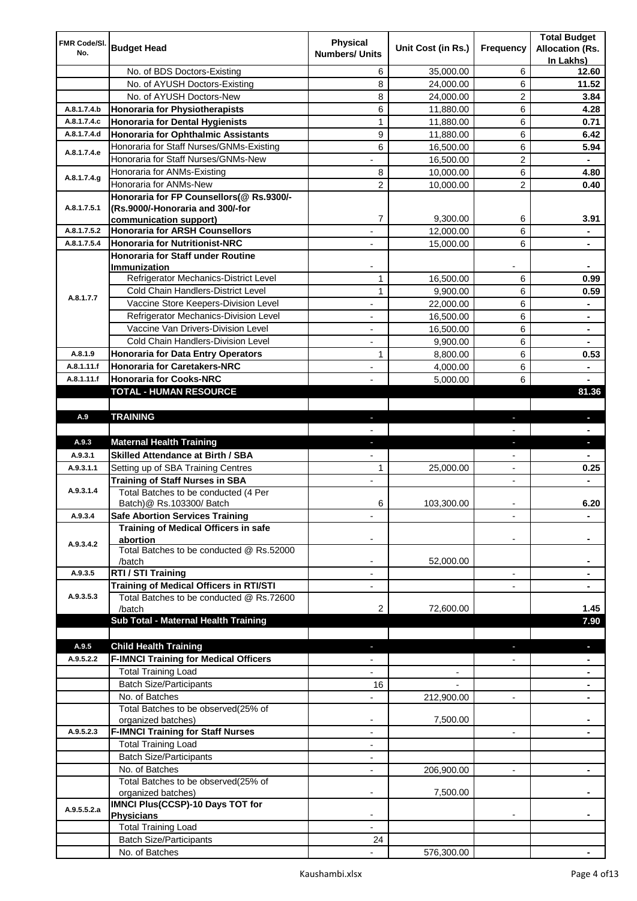| FMR Code/SI. |                                                              | <b>Physical</b>          |                    |                          | <b>Total Budget</b>    |
|--------------|--------------------------------------------------------------|--------------------------|--------------------|--------------------------|------------------------|
| No.          | <b>Budget Head</b>                                           | <b>Numbers/ Units</b>    | Unit Cost (in Rs.) | Frequency                | <b>Allocation (Rs.</b> |
|              |                                                              |                          |                    |                          | In Lakhs)              |
|              | No. of BDS Doctors-Existing                                  | 6                        | 35,000.00          | 6                        | 12.60                  |
|              | No. of AYUSH Doctors-Existing                                | 8                        | 24,000.00          | 6                        | 11.52                  |
|              | No. of AYUSH Doctors-New                                     | 8                        | 24,000.00          | 2                        | 3.84                   |
| A.8.1.7.4.b  | <b>Honoraria for Physiotherapists</b>                        | 6                        | 11,880.00          | 6                        | 4.28                   |
| A.8.1.7.4.c  | <b>Honoraria for Dental Hygienists</b>                       | $\mathbf{1}$             | 11,880.00          | 6                        | 0.71                   |
| A.8.1.7.4.d  | <b>Honoraria for Ophthalmic Assistants</b>                   | 9                        | 11,880.00          | 6                        | 6.42                   |
| A.8.1.7.4.e  | Honoraria for Staff Nurses/GNMs-Existing                     | 6                        | 16,500.00          | 6                        | 5.94                   |
|              | Honoraria for Staff Nurses/GNMs-New                          |                          | 16,500.00          | $\overline{c}$           |                        |
| A.8.1.7.4.g  | Honoraria for ANMs-Existing                                  | 8                        | 10,000.00          | 6                        | 4.80                   |
|              | Honoraria for ANMs-New                                       | 2                        | 10,000.00          | 2                        | 0.40                   |
|              | Honoraria for FP Counsellors(@ Rs.9300/-                     |                          |                    |                          |                        |
| A.8.1.7.5.1  | (Rs.9000/-Honoraria and 300/-for                             |                          |                    |                          |                        |
|              | communication support)                                       | 7                        | 9,300.00           | 6                        | 3.91                   |
| A.8.1.7.5.2  | <b>Honoraria for ARSH Counsellors</b>                        |                          | 12,000.00          | 6                        |                        |
| A.8.1.7.5.4  | <b>Honoraria for Nutritionist-NRC</b>                        |                          | 15,000.00          | 6                        |                        |
|              | <b>Honoraria for Staff under Routine</b>                     |                          |                    |                          |                        |
|              | Immunization                                                 |                          |                    |                          |                        |
|              | Refrigerator Mechanics-District Level                        | $\mathbf{1}$             | 16,500.00          | 6                        | 0.99                   |
| A.8.1.7.7    | Cold Chain Handlers-District Level                           | $\mathbf{1}$             | 9,900.00           | 6                        | 0.59                   |
|              | Vaccine Store Keepers-Division Level                         |                          | 22,000.00          | 6                        |                        |
|              | Refrigerator Mechanics-Division Level                        | $\blacksquare$           | 16,500.00          | 6                        | ۰                      |
|              | Vaccine Van Drivers-Division Level                           | ÷,                       | 16,500.00          | 6                        | ۰                      |
|              | Cold Chain Handlers-Division Level                           | $\overline{\phantom{a}}$ | 9,900.00           | 6                        | ۰                      |
| A.8.1.9      | <b>Honoraria for Data Entry Operators</b>                    | 1                        | 8,800.00           | 6                        | 0.53                   |
| A.8.1.11.f   | <b>Honoraria for Caretakers-NRC</b>                          | $\blacksquare$           | 4,000.00           | 6                        | ٠                      |
| A.8.1.11.f   | <b>Honoraria for Cooks-NRC</b>                               |                          | 5,000.00           | 6                        |                        |
|              | TOTAL - HUMAN RESOURCE                                       |                          |                    |                          | 81.36                  |
|              |                                                              |                          |                    |                          |                        |
| A.9          | <b>TRAINING</b>                                              | ٠                        |                    | ٠                        | ٠                      |
|              |                                                              |                          |                    |                          |                        |
| A.9.3        | <b>Maternal Health Training</b>                              | ٠                        |                    | ٠                        | ٠                      |
| A.9.3.1      | <b>Skilled Attendance at Birth / SBA</b>                     |                          |                    |                          |                        |
| A.9.3.1.1    | Setting up of SBA Training Centres                           | 1                        | 25,000.00          | $\overline{\phantom{a}}$ | 0.25                   |
|              | <b>Training of Staff Nurses in SBA</b>                       | $\overline{\phantom{a}}$ |                    | $\overline{\phantom{0}}$ |                        |
| A.9.3.1.4    | Total Batches to be conducted (4 Per                         |                          |                    |                          |                        |
|              | Batch) @ Rs.103300/ Batch                                    | 6                        | 103,300.00         |                          | 6.20                   |
| A.9.3.4      | <b>Safe Abortion Services Training</b>                       |                          |                    |                          |                        |
|              | Training of Medical Officers in safe                         |                          |                    |                          |                        |
|              | abortion                                                     |                          |                    |                          |                        |
| A.9.3.4.2    | Total Batches to be conducted @ Rs.52000                     |                          |                    |                          |                        |
|              | /batch                                                       |                          | 52,000.00          |                          |                        |
| A.9.3.5      | RTI / STI Training                                           |                          |                    | $\overline{\phantom{0}}$ |                        |
|              | Training of Medical Officers in RTI/STI                      |                          |                    |                          |                        |
| A.9.3.5.3    | Total Batches to be conducted @ Rs.72600                     |                          |                    |                          |                        |
|              | /batch                                                       | 2                        | 72,600.00          |                          | 1.45                   |
|              | Sub Total - Maternal Health Training                         |                          |                    |                          | 7.90                   |
|              |                                                              |                          |                    |                          |                        |
| A.9.5        | <b>Child Health Training</b>                                 |                          |                    |                          |                        |
| A.9.5.2.2    | <b>F-IMNCI Training for Medical Officers</b>                 |                          |                    |                          |                        |
|              | <b>Total Training Load</b>                                   |                          |                    |                          |                        |
|              | <b>Batch Size/Participants</b>                               | 16                       |                    |                          |                        |
|              |                                                              |                          |                    |                          |                        |
|              |                                                              |                          |                    | $\overline{a}$           |                        |
|              | No. of Batches                                               |                          | 212,900.00         |                          |                        |
|              | Total Batches to be observed(25% of                          | $\overline{\phantom{a}}$ |                    |                          |                        |
| A.9.5.2.3    | organized batches)                                           | $\overline{\phantom{a}}$ | 7,500.00           | $\overline{\phantom{a}}$ | ۰                      |
|              | <b>F-IMNCI Training for Staff Nurses</b>                     | $\overline{\phantom{a}}$ |                    |                          |                        |
|              | <b>Total Training Load</b>                                   |                          |                    |                          |                        |
|              | <b>Batch Size/Participants</b>                               |                          |                    |                          |                        |
|              | No. of Batches                                               | $\overline{\phantom{a}}$ | 206,900.00         | $\overline{\phantom{a}}$ | ۰                      |
|              | Total Batches to be observed(25% of                          |                          |                    |                          |                        |
|              | organized batches)                                           |                          | 7,500.00           |                          |                        |
| A.9.5.5.2.a  | IMNCI Plus(CCSP)-10 Days TOT for                             |                          |                    |                          |                        |
|              | <b>Physicians</b>                                            |                          |                    |                          |                        |
|              | <b>Total Training Load</b><br><b>Batch Size/Participants</b> | 24                       |                    |                          |                        |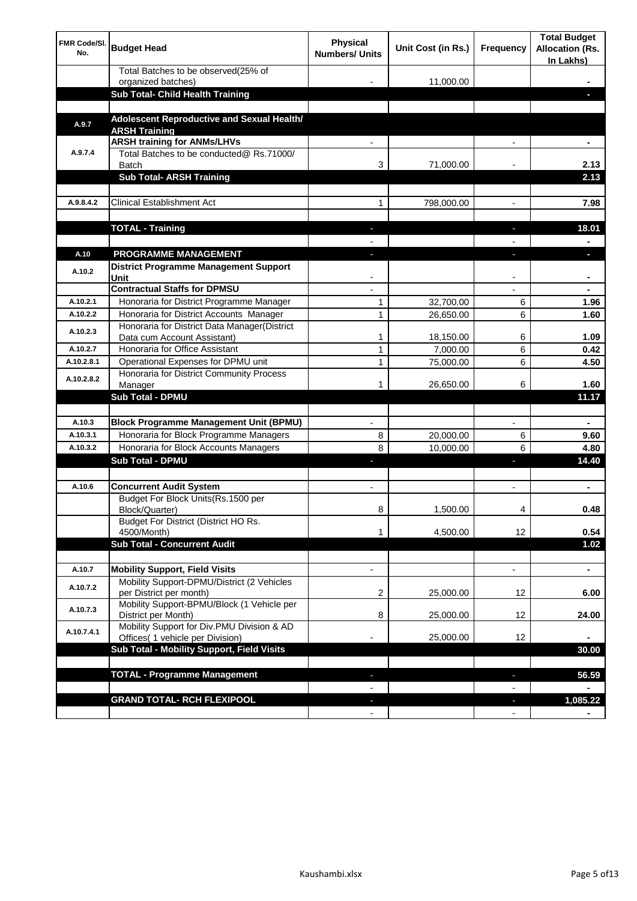| <b>FMR Code/SI.</b><br>No. | <b>Budget Head</b>                                                             | Physical<br><b>Numbers/ Units</b> | Unit Cost (in Rs.) | Frequency                     | <b>Total Budget</b><br><b>Allocation (Rs.</b><br>In Lakhs) |
|----------------------------|--------------------------------------------------------------------------------|-----------------------------------|--------------------|-------------------------------|------------------------------------------------------------|
|                            | Total Batches to be observed(25% of<br>organized batches)                      |                                   | 11,000.00          |                               |                                                            |
|                            | Sub Total- Child Health Training                                               |                                   |                    |                               |                                                            |
|                            |                                                                                |                                   |                    |                               |                                                            |
| A.9.7                      | Adolescent Reproductive and Sexual Health/<br><b>ARSH Training</b>             |                                   |                    |                               |                                                            |
|                            | <b>ARSH training for ANMs/LHVs</b>                                             |                                   |                    |                               |                                                            |
| A.9.7.4                    | Total Batches to be conducted@ Rs.71000/<br>Batch                              | 3                                 | 71,000.00          |                               | 2.13                                                       |
|                            | <b>Sub Total- ARSH Training</b>                                                |                                   |                    |                               | 2.13                                                       |
|                            |                                                                                |                                   |                    |                               |                                                            |
| A.9.8.4.2                  | <b>Clinical Establishment Act</b>                                              | 1                                 | 798,000.00         |                               | 7.98                                                       |
|                            |                                                                                |                                   |                    |                               |                                                            |
|                            | <b>TOTAL - Training</b>                                                        |                                   |                    |                               | 18.01                                                      |
| A.10                       | <b>PROGRAMME MANAGEMENT</b>                                                    |                                   |                    |                               |                                                            |
| A.10.2                     | <b>District Programme Management Support</b><br>Unit                           |                                   |                    |                               |                                                            |
|                            | <b>Contractual Staffs for DPMSU</b>                                            |                                   |                    |                               | ٠                                                          |
| A.10.2.1                   | Honoraria for District Programme Manager                                       | 1                                 | 32,700.00          | 6                             | 1.96                                                       |
| A.10.2.2                   | Honoraria for District Accounts Manager                                        | 1                                 | 26,650.00          | 6                             | 1.60                                                       |
| A.10.2.3                   | Honoraria for District Data Manager(District<br>Data cum Account Assistant)    | 1                                 | 18,150.00          | 6                             | 1.09                                                       |
| A.10.2.7                   | Honoraria for Office Assistant                                                 | 1                                 | 7,000.00           | 6                             | 0.42                                                       |
| A.10.2.8.1                 | Operational Expenses for DPMU unit                                             | 1                                 | 75,000.00          | 6                             | 4.50                                                       |
| A.10.2.8.2                 | Honoraria for District Community Process                                       |                                   |                    |                               |                                                            |
|                            | Manager                                                                        | 1                                 | 26,650.00          | 6                             | 1.60                                                       |
|                            | <b>Sub Total - DPMU</b>                                                        |                                   |                    |                               | 11.17                                                      |
| A.10.3                     | <b>Block Programme Management Unit (BPMU)</b>                                  |                                   |                    | $\overline{\phantom{a}}$      | ۰                                                          |
| A.10.3.1                   | Honoraria for Block Programme Managers                                         | 8                                 | 20,000.00          | 6                             | 9.60                                                       |
| A.10.3.2                   | Honoraria for Block Accounts Managers                                          | 8                                 | 10,000.00          | 6                             | 4.80                                                       |
|                            | <b>Sub Total - DPMU</b>                                                        | ı                                 |                    | r                             | 14.40                                                      |
|                            |                                                                                |                                   |                    |                               |                                                            |
| A.10.6                     | <b>Concurrent Audit System</b>                                                 |                                   |                    |                               | ٠                                                          |
|                            | Budget For Block Units(Rs.1500 per<br>Block/Quarter)                           | 8                                 | 1,500.00           |                               | 0.48                                                       |
|                            | Budget For District (District HO Rs.<br>4500/Month)                            | 1                                 | 4,500.00           | 12                            | 0.54                                                       |
|                            | <b>Sub Total - Concurrent Audit</b>                                            |                                   |                    |                               | 1.02                                                       |
|                            |                                                                                |                                   |                    |                               |                                                            |
| A.10.7                     | <b>Mobility Support, Field Visits</b>                                          |                                   |                    | $\overline{\phantom{a}}$      | $\blacksquare$                                             |
| A.10.7.2                   | Mobility Support-DPMU/District (2 Vehicles<br>per District per month)          | 2                                 | 25,000.00          | 12                            | 6.00                                                       |
| A.10.7.3                   | Mobility Support-BPMU/Block (1 Vehicle per<br>District per Month)              | 8                                 | 25,000.00          | 12                            | 24.00                                                      |
| A.10.7.4.1                 | Mobility Support for Div.PMU Division & AD<br>Offices( 1 vehicle per Division) |                                   | 25,000.00          | 12                            |                                                            |
|                            | Sub Total - Mobility Support, Field Visits                                     |                                   |                    |                               | 30.00                                                      |
|                            |                                                                                |                                   |                    |                               |                                                            |
|                            | <b>TOTAL - Programme Management</b>                                            |                                   |                    | ı                             | 56.59                                                      |
|                            |                                                                                |                                   |                    |                               |                                                            |
|                            | <b>GRAND TOTAL- RCH FLEXIPOOL</b>                                              | $\blacksquare$<br>$\blacksquare$  |                    | ٠<br>$\overline{\phantom{a}}$ | 1,085.22                                                   |
|                            |                                                                                |                                   |                    |                               |                                                            |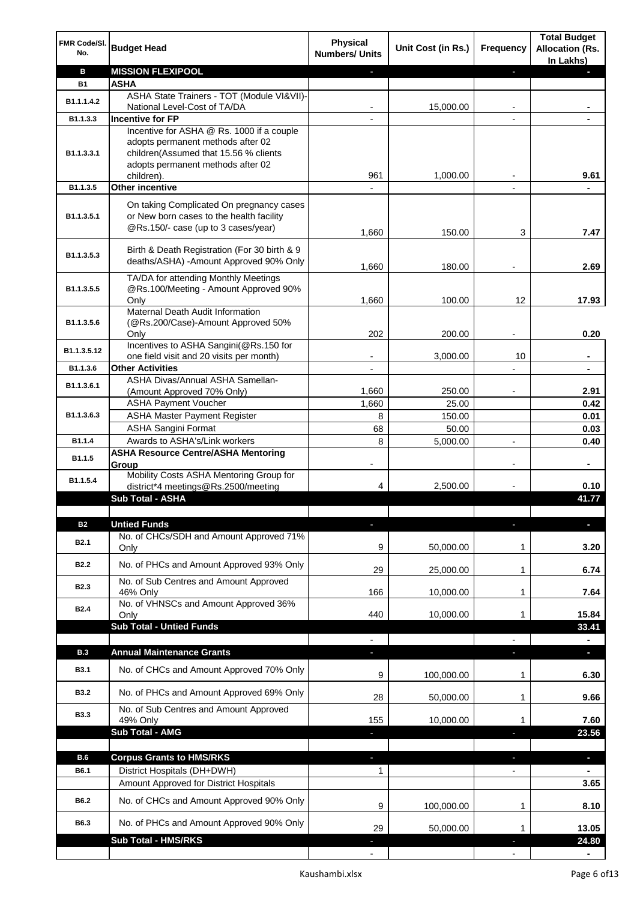| FMR Code/SI.<br>No.      | <b>Budget Head</b>                                                                                                          | <b>Physical</b><br><b>Numbers/ Units</b> | Unit Cost (in Rs.) | Frequency                | <b>Total Budget</b><br><b>Allocation (Rs.</b><br>In Lakhs) |
|--------------------------|-----------------------------------------------------------------------------------------------------------------------------|------------------------------------------|--------------------|--------------------------|------------------------------------------------------------|
| в                        | <b>MISSION FLEXIPOOL</b>                                                                                                    |                                          |                    | ÷.                       |                                                            |
| <b>B1</b>                | <b>ASHA</b>                                                                                                                 |                                          |                    |                          |                                                            |
| B1.1.1.4.2               | ASHA State Trainers - TOT (Module VI&VII)-                                                                                  |                                          |                    |                          |                                                            |
| B1.1.3.3                 | National Level-Cost of TA/DA<br><b>Incentive for FP</b>                                                                     |                                          | 15,000.00          |                          |                                                            |
|                          | Incentive for ASHA @ Rs. 1000 if a couple                                                                                   |                                          |                    |                          |                                                            |
| B1.1.3.3.1               | adopts permanent methods after 02<br>children(Assumed that 15.56 % clients<br>adopts permanent methods after 02             |                                          |                    |                          |                                                            |
|                          | children).                                                                                                                  | 961                                      | 1,000.00           |                          | 9.61                                                       |
| B1.1.3.5                 | <b>Other incentive</b>                                                                                                      |                                          |                    |                          |                                                            |
| B1.1.3.5.1               | On taking Complicated On pregnancy cases<br>or New born cases to the health facility<br>@Rs.150/- case (up to 3 cases/year) | 1,660                                    | 150.00             | 3                        | 7.47                                                       |
| B1.1.3.5.3               | Birth & Death Registration (For 30 birth & 9<br>deaths/ASHA) -Amount Approved 90% Only                                      | 1,660                                    | 180.00             |                          | 2.69                                                       |
| B1.1.3.5.5               | TA/DA for attending Monthly Meetings<br>@Rs.100/Meeting - Amount Approved 90%                                               |                                          |                    |                          |                                                            |
|                          | Only<br>Maternal Death Audit Information                                                                                    | 1,660                                    | 100.00             | 12                       | 17.93                                                      |
| B1.1.3.5.6               | (@Rs.200/Case)-Amount Approved 50%<br>Only                                                                                  | 202                                      | 200.00             |                          | 0.20                                                       |
|                          | Incentives to ASHA Sangini(@Rs.150 for                                                                                      |                                          |                    |                          |                                                            |
| B1.1.3.5.12              | one field visit and 20 visits per month)                                                                                    |                                          | 3,000.00           | 10                       |                                                            |
| B1.1.3.6                 | <b>Other Activities</b>                                                                                                     |                                          |                    |                          |                                                            |
| B1.1.3.6.1               | ASHA Divas/Annual ASHA Samellan-                                                                                            | 1,660                                    | 250.00             |                          | 2.91                                                       |
|                          | (Amount Approved 70% Only)<br><b>ASHA Payment Voucher</b>                                                                   | 1,660                                    | 25.00              |                          | 0.42                                                       |
| B1.1.3.6.3               | <b>ASHA Master Payment Register</b>                                                                                         | 8                                        | 150.00             |                          | 0.01                                                       |
|                          | <b>ASHA Sangini Format</b>                                                                                                  | 68                                       | 50.00              |                          | 0.03                                                       |
| B1.1.4                   | Awards to ASHA's/Link workers                                                                                               | 8                                        | 5,000.00           | $\blacksquare$           | 0.40                                                       |
| B1.1.5                   | <b>ASHA Resource Centre/ASHA Mentoring</b><br>Group                                                                         | $\overline{\phantom{a}}$                 |                    | $\overline{\phantom{a}}$ | $\blacksquare$                                             |
| B1.1.5.4                 | Mobility Costs ASHA Mentoring Group for<br>district*4 meetings@Rs.2500/meeting                                              | 4                                        | 2,500.00           |                          | 0.10                                                       |
|                          | <b>Sub Total - ASHA</b>                                                                                                     |                                          |                    |                          | 41.77                                                      |
|                          |                                                                                                                             |                                          |                    |                          |                                                            |
| <b>B2</b><br><b>B2.1</b> | <b>Untied Funds</b><br>No. of CHCs/SDH and Amount Approved 71%<br>Only                                                      | 9                                        | 50,000.00          | 1                        | 3.20                                                       |
| <b>B2.2</b>              | No. of PHCs and Amount Approved 93% Only                                                                                    | 29                                       | 25,000.00          | 1                        | 6.74                                                       |
| <b>B2.3</b>              | No. of Sub Centres and Amount Approved                                                                                      |                                          |                    |                          |                                                            |
|                          | 46% Only<br>No. of VHNSCs and Amount Approved 36%                                                                           | 166                                      | 10,000.00          | 1                        | 7.64                                                       |
| <b>B2.4</b>              | Only                                                                                                                        | 440                                      | 10,000.00          | 1                        | 15.84                                                      |
|                          | <b>Sub Total - Untied Funds</b>                                                                                             |                                          |                    |                          | 33.41                                                      |
|                          |                                                                                                                             |                                          |                    |                          |                                                            |
| <b>B.3</b>               | <b>Annual Maintenance Grants</b>                                                                                            | J,                                       |                    |                          | o.                                                         |
| <b>B3.1</b>              | No. of CHCs and Amount Approved 70% Only                                                                                    | 9                                        | 100,000.00         | 1                        | 6.30                                                       |
| <b>B3.2</b>              | No. of PHCs and Amount Approved 69% Only                                                                                    | 28                                       | 50,000.00          | 1                        | 9.66                                                       |
| <b>B3.3</b>              | No. of Sub Centres and Amount Approved<br>49% Only                                                                          | 155                                      | 10,000.00          | 1                        | 7.60                                                       |
|                          | Sub Total - AMG                                                                                                             |                                          |                    |                          | 23.56                                                      |
|                          |                                                                                                                             |                                          |                    |                          |                                                            |
| B.6                      | <b>Corpus Grants to HMS/RKS</b>                                                                                             | J,                                       |                    | ×,                       | $\overline{\phantom{a}}$                                   |
| B6.1                     | District Hospitals (DH+DWH)                                                                                                 | 1                                        |                    |                          |                                                            |
|                          | Amount Approved for District Hospitals                                                                                      |                                          |                    |                          | 3.65                                                       |
| B6.2                     | No. of CHCs and Amount Approved 90% Only                                                                                    | 9                                        | 100,000.00         | 1                        | 8.10                                                       |
| B6.3                     | No. of PHCs and Amount Approved 90% Only                                                                                    | 29                                       | 50,000.00          | 1                        | 13.05                                                      |
|                          | Sub Total - HMS/RKS                                                                                                         |                                          |                    |                          | 24.80                                                      |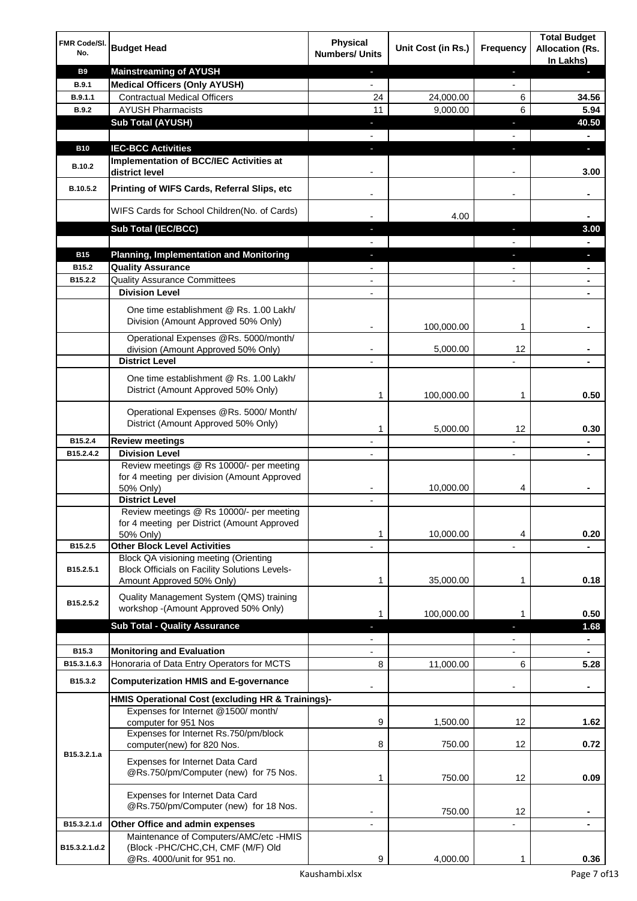| FMR Code/SI.<br>No.  | <b>Budget Head</b>                                                                                                  | <b>Physical</b><br><b>Numbers/ Units</b> | Unit Cost (in Rs.) | <b>Frequency</b>         | <b>Total Budget</b><br><b>Allocation (Rs.</b><br>In Lakhs) |
|----------------------|---------------------------------------------------------------------------------------------------------------------|------------------------------------------|--------------------|--------------------------|------------------------------------------------------------|
| <b>B9</b>            | <b>Mainstreaming of AYUSH</b>                                                                                       | ٠                                        |                    | ٠                        | r.                                                         |
| <b>B.9.1</b>         | <b>Medical Officers (Only AYUSH)</b>                                                                                | $\overline{a}$                           |                    | $\overline{a}$           |                                                            |
| B.9.1.1              | <b>Contractual Medical Officers</b>                                                                                 | 24                                       | 24,000.00          | 6                        | 34.56                                                      |
| <b>B.9.2</b>         | <b>AYUSH Pharmacists</b>                                                                                            | 11                                       | 9,000.00           | 6                        | 5.94                                                       |
|                      | <b>Sub Total (AYUSH)</b>                                                                                            | ٠                                        |                    | ı                        | 40.50                                                      |
|                      |                                                                                                                     |                                          |                    |                          | $\blacksquare$                                             |
| <b>B10</b>           | <b>IEC-BCC Activities</b><br>Implementation of BCC/IEC Activities at                                                | a,                                       |                    | ı                        | D.                                                         |
| <b>B.10.2</b>        | district level                                                                                                      |                                          |                    |                          | 3.00                                                       |
| B.10.5.2             | Printing of WIFS Cards, Referral Slips, etc                                                                         |                                          |                    | $\overline{\phantom{0}}$ | $\blacksquare$                                             |
|                      | WIFS Cards for School Children(No. of Cards)                                                                        |                                          | 4.00               |                          |                                                            |
|                      | Sub Total (IEC/BCC)                                                                                                 |                                          |                    |                          | 3.00                                                       |
|                      |                                                                                                                     |                                          |                    |                          |                                                            |
| <b>B15</b>           | <b>Planning, Implementation and Monitoring</b>                                                                      |                                          |                    |                          |                                                            |
| B15.2                | <b>Quality Assurance</b>                                                                                            |                                          |                    |                          |                                                            |
| B15.2.2              | <b>Quality Assurance Committees</b>                                                                                 |                                          |                    |                          | $\blacksquare$                                             |
|                      | <b>Division Level</b>                                                                                               |                                          |                    |                          |                                                            |
|                      | One time establishment @ Rs. 1.00 Lakh/<br>Division (Amount Approved 50% Only)                                      |                                          | 100,000.00         | 1                        |                                                            |
|                      | Operational Expenses @Rs. 5000/month/                                                                               |                                          |                    |                          |                                                            |
|                      | division (Amount Approved 50% Only)                                                                                 |                                          | 5,000.00           | 12                       |                                                            |
|                      | <b>District Level</b>                                                                                               |                                          |                    |                          |                                                            |
|                      | One time establishment @ Rs. 1.00 Lakh/<br>District (Amount Approved 50% Only)                                      | 1                                        | 100,000.00         | 1                        | 0.50                                                       |
|                      | Operational Expenses @Rs. 5000/ Month/<br>District (Amount Approved 50% Only)                                       | 1                                        | 5,000.00           | 12                       | 0.30                                                       |
| B15.2.4              | <b>Review meetings</b>                                                                                              |                                          |                    |                          |                                                            |
| B15.2.4.2            | <b>Division Level</b>                                                                                               |                                          |                    |                          |                                                            |
|                      | Review meetings @ Rs 10000/- per meeting<br>for 4 meeting per division (Amount Approved<br>50% Only)                |                                          | 10,000.00          | 4                        |                                                            |
|                      | <b>District Level</b>                                                                                               |                                          |                    |                          |                                                            |
|                      | Review meetings @ Rs 10000/- per meeting<br>for 4 meeting per District (Amount Approved<br>50% Only)                | 1                                        | 10,000.00          | 4                        | 0.20                                                       |
| B15.2.5              | <b>Other Block Level Activities</b>                                                                                 |                                          |                    | ٠                        |                                                            |
| B15.2.5.1            | Block QA visioning meeting (Orienting<br>Block Officials on Facility Solutions Levels-<br>Amount Approved 50% Only) | 1                                        | 35,000.00          | $\mathbf 1$              | 0.18                                                       |
| B15.2.5.2            | Quality Management System (QMS) training<br>workshop - (Amount Approved 50% Only)                                   | 1                                        | 100,000.00         | 1                        | 0.50                                                       |
|                      | <b>Sub Total - Quality Assurance</b>                                                                                |                                          |                    | r                        | 1.68                                                       |
|                      |                                                                                                                     |                                          |                    |                          |                                                            |
| B15.3<br>B15.3.1.6.3 | <b>Monitoring and Evaluation</b>                                                                                    |                                          |                    |                          |                                                            |
|                      | Honoraria of Data Entry Operators for MCTS                                                                          | 8                                        | 11,000.00          | 6                        | 5.28                                                       |
| B15.3.2              | <b>Computerization HMIS and E-governance</b>                                                                        |                                          |                    |                          | ۰                                                          |
|                      | HMIS Operational Cost (excluding HR & Trainings)-                                                                   |                                          |                    |                          |                                                            |
|                      | Expenses for Internet @1500/month/<br>computer for 951 Nos<br>Expenses for Internet Rs.750/pm/block                 | 9                                        | 1,500.00           | 12                       | 1.62                                                       |
| B15.3.2.1.a          | computer(new) for 820 Nos.                                                                                          | 8                                        | 750.00             | 12                       | 0.72                                                       |
|                      | Expenses for Internet Data Card<br>@Rs.750/pm/Computer (new) for 75 Nos.                                            | 1                                        | 750.00             | 12                       | 0.09                                                       |
|                      | Expenses for Internet Data Card<br>@Rs.750/pm/Computer (new) for 18 Nos.                                            |                                          | 750.00             | 12                       |                                                            |
| B15.3.2.1.d          | Other Office and admin expenses                                                                                     |                                          |                    |                          |                                                            |
| B15.3.2.1.d.2        | Maintenance of Computers/AMC/etc -HMIS<br>(Block -PHC/CHC, CH, CMF (M/F) Old<br>@Rs. 4000/unit for 951 no.          | 9                                        | 4,000.00           |                          | 0.36                                                       |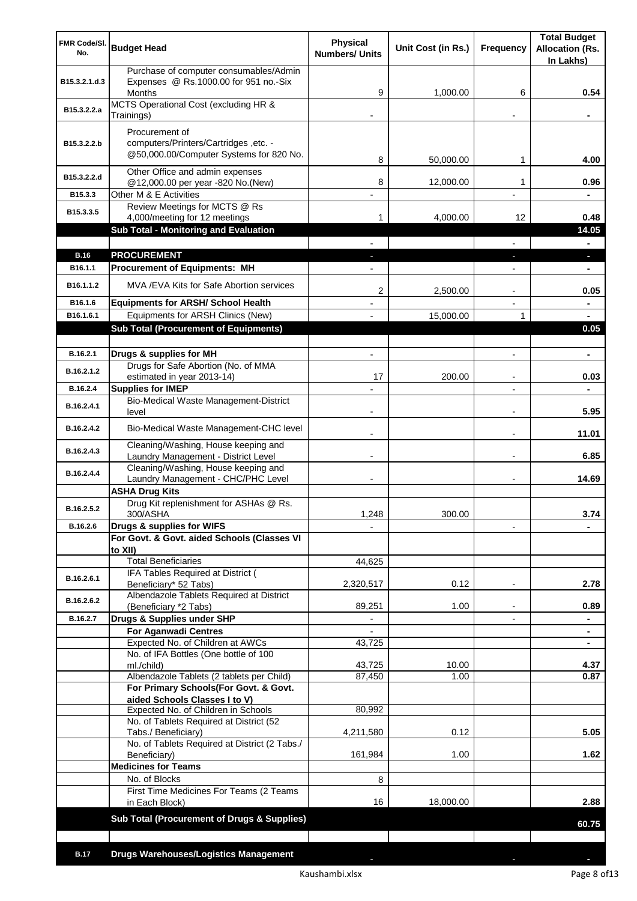| FMR Code/SI.<br>No.   | <b>Budget Head</b>                                                                                 | <b>Physical</b><br><b>Numbers/ Units</b> | Unit Cost (in Rs.) | Frequency                | <b>Total Budget</b><br><b>Allocation (Rs.</b><br>In Lakhs) |
|-----------------------|----------------------------------------------------------------------------------------------------|------------------------------------------|--------------------|--------------------------|------------------------------------------------------------|
| B15.3.2.1.d.3         | Purchase of computer consumables/Admin<br>Expenses @ Rs.1000.00 for 951 no.-Six<br><b>Months</b>   | 9                                        | 1,000.00           | 6                        | 0.54                                                       |
| B15.3.2.2.a           | MCTS Operational Cost (excluding HR &<br>Trainings)                                                |                                          |                    |                          |                                                            |
| B15.3.2.2.b           | Procurement of<br>computers/Printers/Cartridges, etc. -<br>@50,000.00/Computer Systems for 820 No. |                                          |                    |                          |                                                            |
| B15.3.2.2.d           | Other Office and admin expenses                                                                    | 8                                        | 50,000.00          | 1                        | 4.00                                                       |
| B15.3.3               | @12,000.00 per year -820 No.(New)<br>Other M & E Activities                                        | 8<br>$\overline{a}$                      | 12,000.00          | 1<br>$\overline{a}$      | 0.96<br>$\blacksquare$                                     |
| B15.3.3.5             | Review Meetings for MCTS @ Rs                                                                      |                                          |                    |                          |                                                            |
|                       | 4,000/meeting for 12 meetings<br><b>Sub Total - Monitoring and Evaluation</b>                      | 1.                                       | 4,000.00           | 12                       | 0.48<br>14.05                                              |
|                       |                                                                                                    |                                          |                    |                          | ٠                                                          |
| <b>B.16</b>           | <b>PROCUREMENT</b>                                                                                 |                                          |                    |                          | ٠                                                          |
| B <sub>16.1.1</sub>   | <b>Procurement of Equipments: MH</b>                                                               |                                          |                    |                          |                                                            |
| B <sub>16.1.1.2</sub> | MVA / EVA Kits for Safe Abortion services                                                          | 2                                        | 2,500.00           | $\overline{a}$           | 0.05                                                       |
| B16.1.6<br>B16.1.6.1  | <b>Equipments for ARSH/ School Health</b><br>Equipments for ARSH Clinics (New)                     |                                          | 15,000.00          | $\mathbf{1}$             |                                                            |
|                       | <b>Sub Total (Procurement of Equipments)</b>                                                       |                                          |                    |                          | 0.05                                                       |
|                       |                                                                                                    |                                          |                    |                          |                                                            |
| B.16.2.1              | Drugs & supplies for MH                                                                            | $\overline{\phantom{a}}$                 |                    | $\overline{a}$           | ۰                                                          |
| B.16.2.1.2            | Drugs for Safe Abortion (No. of MMA<br>estimated in year 2013-14)                                  | 17                                       | 200.00             |                          | 0.03                                                       |
| B.16.2.4              | <b>Supplies for IMEP</b>                                                                           |                                          |                    |                          |                                                            |
| B.16.2.4.1            | Bio-Medical Waste Management-District<br>level                                                     |                                          |                    | $\overline{a}$           | 5.95                                                       |
| B.16.2.4.2            | Bio-Medical Waste Management-CHC level                                                             |                                          |                    |                          | 11.01                                                      |
| B.16.2.4.3            | Cleaning/Washing, House keeping and<br>Laundry Management - District Level                         |                                          |                    |                          | 6.85                                                       |
| B.16.2.4.4            | Cleaning/Washing, House keeping and<br>Laundry Management - CHC/PHC Level                          |                                          |                    |                          | 14.69                                                      |
|                       | <b>ASHA Drug Kits</b>                                                                              |                                          |                    |                          |                                                            |
| B.16.2.5.2            | Drug Kit replenishment for ASHAs @ Rs.<br>300/ASHA                                                 | 1,248                                    | 300.00             |                          | 3.74                                                       |
| B.16.2.6              | Drugs & supplies for WIFS                                                                          |                                          |                    |                          |                                                            |
|                       | For Govt. & Govt. aided Schools (Classes VI<br>to XII)                                             |                                          |                    |                          |                                                            |
|                       | <b>Total Beneficiaries</b>                                                                         | 44,625                                   |                    |                          |                                                            |
| B.16.2.6.1            | IFA Tables Required at District (<br>Beneficiary* 52 Tabs)                                         | 2,320,517                                | 0.12               | $\overline{a}$           | 2.78                                                       |
| B.16.2.6.2            | Albendazole Tablets Required at District<br>(Beneficiary *2 Tabs)                                  | 89,251                                   | 1.00               | ٠                        | 0.89                                                       |
| B.16.2.7              | Drugs & Supplies under SHP                                                                         | $\blacksquare$                           |                    | $\overline{\phantom{0}}$ | $\blacksquare$                                             |
|                       | <b>For Aganwadi Centres</b>                                                                        |                                          |                    |                          | ٠                                                          |
|                       | Expected No. of Children at AWCs<br>No. of IFA Bottles (One bottle of 100                          | 43,725                                   |                    |                          | ٠                                                          |
|                       | ml./child)                                                                                         | 43,725                                   | 10.00              |                          | 4.37                                                       |
|                       | Albendazole Tablets (2 tablets per Child)                                                          | 87,450                                   | 1.00               |                          | 0.87                                                       |
|                       | For Primary Schools(For Govt. & Govt.<br>aided Schools Classes I to V)                             |                                          |                    |                          |                                                            |
|                       | Expected No. of Children in Schools                                                                | 80,992                                   |                    |                          |                                                            |
|                       | No. of Tablets Required at District (52<br>Tabs./ Beneficiary)                                     | 4,211,580                                | 0.12               |                          | 5.05                                                       |
|                       | No. of Tablets Required at District (2 Tabs./<br>Beneficiary)                                      | 161,984                                  | 1.00               |                          | 1.62                                                       |
|                       | <b>Medicines for Teams</b>                                                                         |                                          |                    |                          |                                                            |
|                       | No. of Blocks                                                                                      | 8                                        |                    |                          |                                                            |
|                       | First Time Medicines For Teams (2 Teams<br>in Each Block)                                          | 16                                       | 18,000.00          |                          | 2.88                                                       |
|                       | Sub Total (Procurement of Drugs & Supplies)                                                        |                                          |                    |                          | 60.75                                                      |
|                       |                                                                                                    |                                          |                    |                          |                                                            |
| <b>B.17</b>           | <b>Drugs Warehouses/Logistics Management</b>                                                       |                                          |                    |                          |                                                            |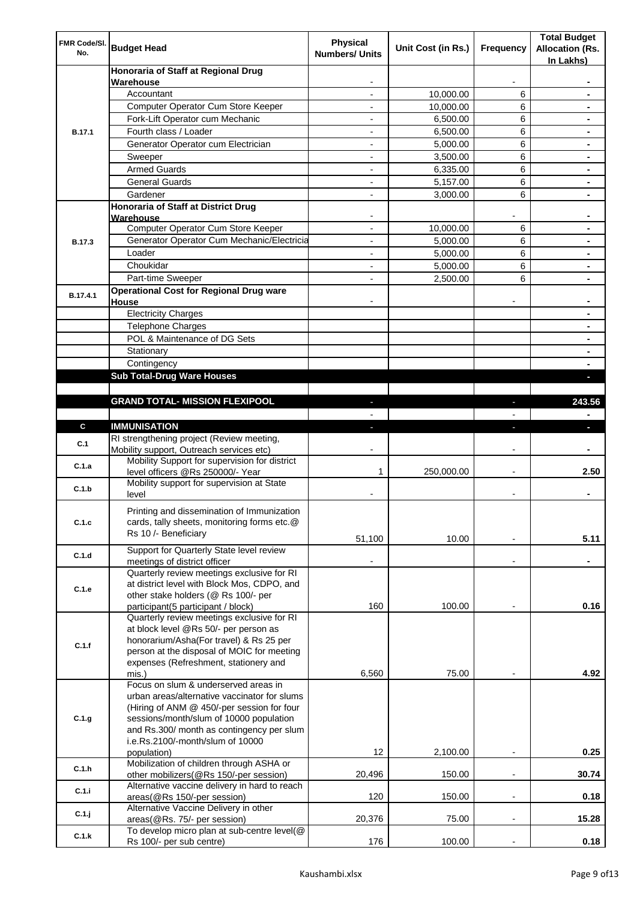| FMR Code/SI.<br>No. | <b>Budget Head</b>                                                                        | Physical<br><b>Numbers/ Units</b> | Unit Cost (in Rs.) | Frequency                | <b>Total Budget</b><br><b>Allocation (Rs.</b><br>In Lakhs) |
|---------------------|-------------------------------------------------------------------------------------------|-----------------------------------|--------------------|--------------------------|------------------------------------------------------------|
|                     | Honoraria of Staff at Regional Drug<br>Warehouse                                          |                                   |                    |                          |                                                            |
|                     | Accountant                                                                                |                                   | 10,000.00          | 6                        |                                                            |
|                     | Computer Operator Cum Store Keeper                                                        |                                   | 10,000.00          | 6                        |                                                            |
|                     | Fork-Lift Operator cum Mechanic                                                           |                                   | 6,500.00           | 6                        |                                                            |
| <b>B.17.1</b>       | Fourth class / Loader                                                                     | $\overline{\phantom{0}}$          | 6,500.00           | 6                        |                                                            |
|                     | Generator Operator cum Electrician                                                        |                                   | 5,000.00           | 6                        |                                                            |
|                     | Sweeper                                                                                   |                                   | 3,500.00           | 6                        |                                                            |
|                     | <b>Armed Guards</b>                                                                       | ٠                                 | 6,335.00           | 6                        |                                                            |
|                     | <b>General Guards</b>                                                                     | ٠                                 | 5,157.00           | 6                        | $\blacksquare$                                             |
|                     | Gardener                                                                                  | $\overline{\phantom{0}}$          | 3,000.00           | 6                        |                                                            |
|                     | Honoraria of Staff at District Drug                                                       |                                   |                    |                          |                                                            |
|                     | Warehouse<br>Computer Operator Cum Store Keeper                                           |                                   | 10,000.00          | 6                        |                                                            |
| <b>B.17.3</b>       | Generator Operator Cum Mechanic/Electricia                                                | $\overline{a}$                    | 5,000.00           | 6                        |                                                            |
|                     | Loader                                                                                    | $\overline{\phantom{0}}$          | 5,000.00           | 6                        |                                                            |
|                     | Choukidar                                                                                 |                                   | 5,000.00           | 6                        |                                                            |
|                     | Part-time Sweeper                                                                         |                                   | 2,500.00           | 6                        |                                                            |
|                     | <b>Operational Cost for Regional Drug ware</b>                                            |                                   |                    |                          |                                                            |
| B.17.4.1            | House                                                                                     |                                   |                    |                          |                                                            |
|                     | <b>Electricity Charges</b>                                                                |                                   |                    |                          |                                                            |
|                     | <b>Telephone Charges</b>                                                                  |                                   |                    |                          |                                                            |
|                     | POL & Maintenance of DG Sets                                                              |                                   |                    |                          |                                                            |
|                     | Stationary                                                                                |                                   |                    |                          |                                                            |
|                     | Contingency                                                                               |                                   |                    |                          |                                                            |
|                     | <b>Sub Total-Drug Ware Houses</b>                                                         |                                   |                    |                          |                                                            |
|                     |                                                                                           |                                   |                    |                          |                                                            |
|                     | <b>GRAND TOTAL- MISSION FLEXIPOOL</b>                                                     |                                   |                    |                          | 243.56                                                     |
|                     |                                                                                           |                                   |                    |                          |                                                            |
| $\mathbf{c}$        | <b>IMMUNISATION</b>                                                                       |                                   |                    |                          |                                                            |
| C.1                 | RI strengthening project (Review meeting,<br>Mobility support, Outreach services etc)     |                                   |                    |                          |                                                            |
| C.1.a               | Mobility Support for supervision for district<br>level officers @Rs 250000/- Year         | 1                                 | 250,000.00         |                          | 2.50                                                       |
| C.1.b               | Mobility support for supervision at State<br>level                                        |                                   |                    |                          |                                                            |
|                     |                                                                                           |                                   |                    |                          |                                                            |
| C.1.c               | Printing and dissemination of Immunization<br>cards, tally sheets, monitoring forms etc.@ |                                   |                    |                          |                                                            |
|                     | Rs 10 /- Beneficiary                                                                      |                                   |                    |                          |                                                            |
|                     |                                                                                           | 51,100                            | 10.00              |                          | 5.11                                                       |
| C.1.d               | Support for Quarterly State level review<br>meetings of district officer                  |                                   |                    |                          |                                                            |
|                     | Quarterly review meetings exclusive for RI                                                |                                   |                    |                          |                                                            |
| C.1.e               | at district level with Block Mos, CDPO, and                                               |                                   |                    |                          |                                                            |
|                     | other stake holders (@ Rs 100/- per                                                       |                                   |                    |                          |                                                            |
|                     | participant(5 participant / block)                                                        | 160                               | 100.00             |                          | 0.16                                                       |
|                     | Quarterly review meetings exclusive for RI                                                |                                   |                    |                          |                                                            |
|                     | at block level @Rs 50/- per person as<br>honorarium/Asha(For travel) & Rs 25 per          |                                   |                    |                          |                                                            |
| C.1.f               | person at the disposal of MOIC for meeting                                                |                                   |                    |                          |                                                            |
|                     | expenses (Refreshment, stationery and                                                     |                                   |                    |                          |                                                            |
|                     | mis.)                                                                                     | 6,560                             | 75.00              |                          | 4.92                                                       |
|                     | Focus on slum & underserved areas in                                                      |                                   |                    |                          |                                                            |
|                     | urban areas/alternative vaccinator for slums                                              |                                   |                    |                          |                                                            |
|                     | (Hiring of ANM @ 450/-per session for four                                                |                                   |                    |                          |                                                            |
| C.1.g               | sessions/month/slum of 10000 population                                                   |                                   |                    |                          |                                                            |
|                     | and Rs.300/ month as contingency per slum<br>i.e.Rs.2100/-month/slum of 10000             |                                   |                    |                          |                                                            |
|                     | population)                                                                               | 12                                | 2,100.00           | $\overline{\phantom{a}}$ | 0.25                                                       |
|                     | Mobilization of children through ASHA or                                                  |                                   |                    |                          |                                                            |
| C.1.h               | other mobilizers(@Rs 150/-per session)                                                    | 20,496                            | 150.00             |                          | 30.74                                                      |
| C.1.i               | Alternative vaccine delivery in hard to reach                                             |                                   |                    |                          |                                                            |
|                     | areas(@Rs 150/-per session)                                                               | 120                               | 150.00             | $\overline{\phantom{a}}$ | 0.18                                                       |
| C.1.j               | Alternative Vaccine Delivery in other                                                     |                                   |                    |                          |                                                            |
|                     | areas(@Rs. 75/- per session)                                                              | 20,376                            | 75.00              |                          | 15.28                                                      |
| C.1.k               | To develop micro plan at sub-centre level(@<br>Rs 100/- per sub centre)                   | 176                               | 100.00             | ÷,                       | 0.18                                                       |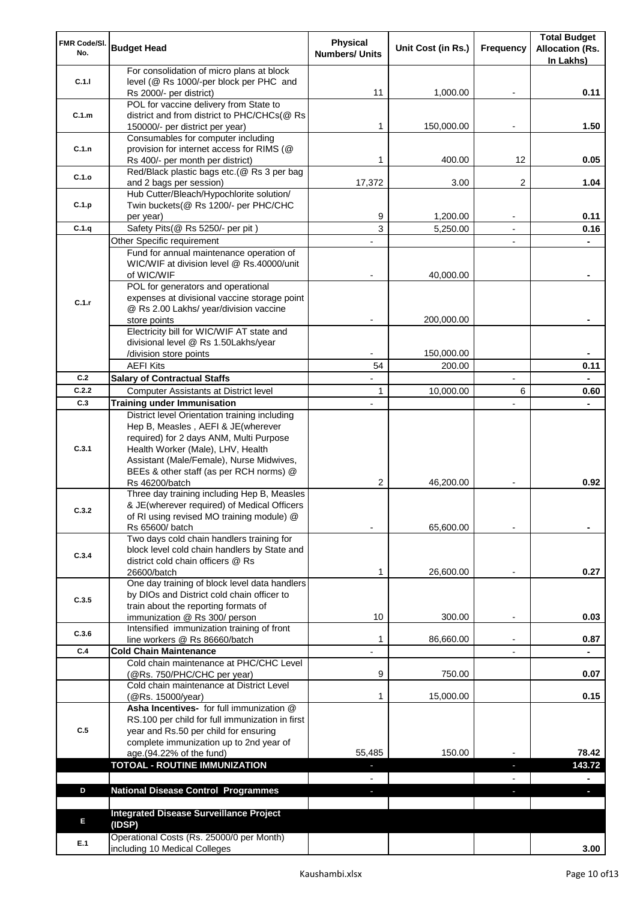| FMR Code/SI.<br>No.                                                                     | <b>Budget Head</b>                                                                    | <b>Physical</b><br><b>Numbers/ Units</b> | Unit Cost (in Rs.) | Frequency      | <b>Total Budget</b><br><b>Allocation (Rs.</b> |
|-----------------------------------------------------------------------------------------|---------------------------------------------------------------------------------------|------------------------------------------|--------------------|----------------|-----------------------------------------------|
|                                                                                         |                                                                                       |                                          |                    |                | In Lakhs)                                     |
|                                                                                         | For consolidation of micro plans at block                                             |                                          |                    |                |                                               |
| C.1.1                                                                                   | level (@ Rs 1000/-per block per PHC and<br>Rs 2000/- per district)                    | 11                                       | 1,000.00           |                | 0.11                                          |
|                                                                                         | POL for vaccine delivery from State to                                                |                                          |                    |                |                                               |
| C.1.m                                                                                   | district and from district to PHC/CHCs(@ Rs                                           |                                          |                    |                |                                               |
|                                                                                         | 150000/- per district per year)                                                       | 1                                        | 150,000.00         |                | 1.50                                          |
|                                                                                         | Consumables for computer including                                                    |                                          |                    |                |                                               |
|                                                                                         | provision for internet access for RIMS (@                                             | 1                                        |                    | 12             |                                               |
|                                                                                         | Rs 400/- per month per district)<br>Red/Black plastic bags etc.(@ Rs 3 per bag        |                                          | 400.00             |                | 0.05                                          |
|                                                                                         | and 2 bags per session)                                                               | 17,372                                   | 3.00               | 2              | 1.04                                          |
|                                                                                         | Hub Cutter/Bleach/Hypochlorite solution/                                              |                                          |                    |                |                                               |
| C.1.p                                                                                   | Twin buckets(@ Rs 1200/- per PHC/CHC                                                  |                                          |                    |                |                                               |
|                                                                                         | per year)                                                                             | 9                                        | 1,200.00           |                | 0.11                                          |
|                                                                                         | Safety Pits(@ Rs 5250/- per pit)                                                      | 3                                        | 5,250.00           | $\overline{a}$ | 0.16                                          |
|                                                                                         | Other Specific requirement                                                            |                                          |                    |                |                                               |
|                                                                                         | Fund for annual maintenance operation of<br>WIC/WIF at division level @ Rs.40000/unit |                                          |                    |                |                                               |
|                                                                                         | of WIC/WIF                                                                            |                                          | 40,000.00          |                |                                               |
|                                                                                         | POL for generators and operational                                                    |                                          |                    |                |                                               |
|                                                                                         | expenses at divisional vaccine storage point                                          |                                          |                    |                |                                               |
|                                                                                         | @ Rs 2.00 Lakhs/ year/division vaccine                                                |                                          |                    |                |                                               |
|                                                                                         | store points                                                                          |                                          | 200,000.00         |                |                                               |
|                                                                                         | Electricity bill for WIC/WIF AT state and<br>divisional level @ Rs 1.50Lakhs/year     |                                          |                    |                |                                               |
|                                                                                         | /division store points                                                                |                                          | 150,000.00         |                |                                               |
|                                                                                         | <b>AEFI Kits</b>                                                                      | 54                                       | 200.00             |                | 0.11                                          |
| C.2                                                                                     | <b>Salary of Contractual Staffs</b>                                                   |                                          |                    |                |                                               |
| C.2.2                                                                                   | Computer Assistants at District level                                                 | 1                                        | 10,000.00          | 6              | 0.60                                          |
| C.3                                                                                     | <b>Training under Immunisation</b>                                                    |                                          |                    |                |                                               |
|                                                                                         | District level Orientation training including                                         |                                          |                    |                |                                               |
|                                                                                         | Hep B, Measles, AEFI & JE(wherever                                                    |                                          |                    |                |                                               |
|                                                                                         | required) for 2 days ANM, Multi Purpose                                               |                                          |                    |                |                                               |
|                                                                                         | Health Worker (Male), LHV, Health<br>Assistant (Male/Female), Nurse Midwives,         |                                          |                    |                |                                               |
|                                                                                         | BEEs & other staff (as per RCH norms) @                                               |                                          |                    |                |                                               |
|                                                                                         | Rs 46200/batch                                                                        | 2                                        | 46,200.00          |                | 0.92                                          |
|                                                                                         | Three day training including Hep B, Measles                                           |                                          |                    |                |                                               |
| C.3.2                                                                                   | & JE(wherever required) of Medical Officers                                           |                                          |                    |                |                                               |
|                                                                                         | of RI using revised MO training module) @<br>Rs 65600/ batch                          |                                          | 65,600.00          |                |                                               |
|                                                                                         | Two days cold chain handlers training for                                             |                                          |                    |                |                                               |
|                                                                                         | block level cold chain handlers by State and                                          |                                          |                    |                |                                               |
|                                                                                         | district cold chain officers @ Rs                                                     |                                          |                    |                |                                               |
| C.1.n<br>C.1.o<br>C.1.q<br>C.1.r<br>C.3.1<br>C.3.4<br>C.3.5<br>C.3.6<br>C.4<br>C.5<br>D | 26600/batch                                                                           | 1                                        | 26,600.00          |                | 0.27                                          |
|                                                                                         | One day training of block level data handlers                                         |                                          |                    |                |                                               |
|                                                                                         | by DIOs and District cold chain officer to<br>train about the reporting formats of    |                                          |                    |                |                                               |
|                                                                                         | immunization @ Rs 300/ person                                                         | 10                                       | 300.00             |                | 0.03                                          |
|                                                                                         | Intensified immunization training of front                                            |                                          |                    |                |                                               |
|                                                                                         | line workers @ Rs 86660/batch                                                         | 1                                        | 86,660.00          |                | 0.87                                          |
|                                                                                         | <b>Cold Chain Maintenance</b>                                                         |                                          |                    |                |                                               |
|                                                                                         | Cold chain maintenance at PHC/CHC Level                                               |                                          |                    |                |                                               |
|                                                                                         | (@Rs. 750/PHC/CHC per year)<br>Cold chain maintenance at District Level               | 9                                        | 750.00             |                | 0.07                                          |
|                                                                                         | (@Rs. 15000/year)                                                                     | 1                                        | 15,000.00          |                | 0.15                                          |
|                                                                                         | Asha Incentives- for full immunization @                                              |                                          |                    |                |                                               |
|                                                                                         | RS.100 per child for full immunization in first                                       |                                          |                    |                |                                               |
|                                                                                         | year and Rs.50 per child for ensuring                                                 |                                          |                    |                |                                               |
|                                                                                         | complete immunization up to 2nd year of                                               |                                          |                    |                |                                               |
|                                                                                         | age.(94.22% of the fund)<br><b>TOTOAL - ROUTINE IMMUNIZATION</b>                      | 55,485                                   | 150.00             |                | 78.42<br>143.72                               |
|                                                                                         |                                                                                       | ٠                                        |                    | ٠              |                                               |
|                                                                                         | <b>National Disease Control Programmes</b>                                            | ٠                                        |                    | ÷.             | ÷.                                            |
|                                                                                         |                                                                                       |                                          |                    |                |                                               |
|                                                                                         | <b>Integrated Disease Surveillance Project</b>                                        |                                          |                    |                |                                               |
| E                                                                                       | (IDSP)                                                                                |                                          |                    |                |                                               |
| E.1                                                                                     | Operational Costs (Rs. 25000/0 per Month)                                             |                                          |                    |                |                                               |
|                                                                                         | including 10 Medical Colleges                                                         |                                          |                    |                | 3.00                                          |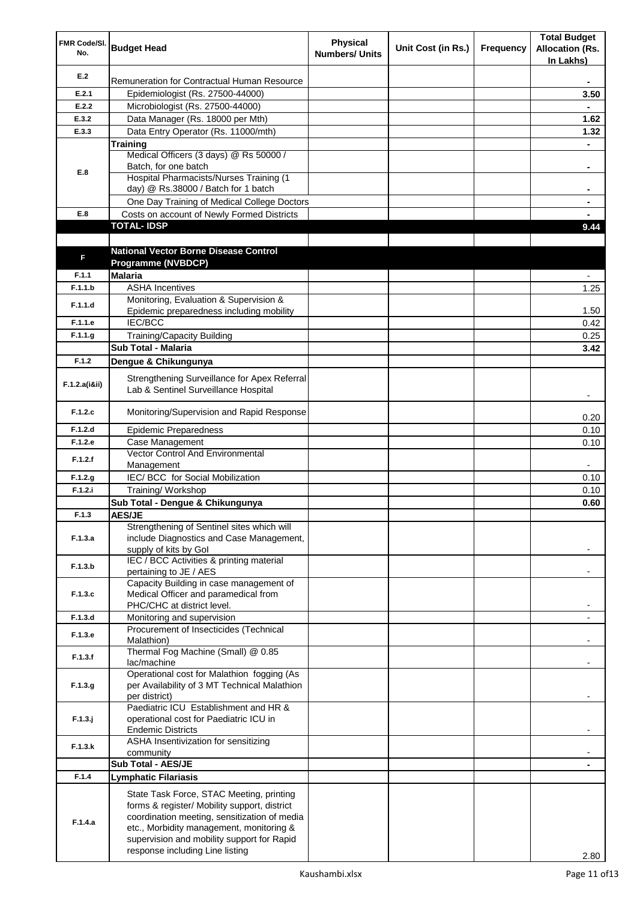| FMR Code/SI.<br>No. | <b>Budget Head</b>                                                                                                                                                                                                                 | <b>Physical</b><br><b>Numbers/ Units</b> | Unit Cost (in Rs.) | Frequency | <b>Total Budget</b><br><b>Allocation (Rs.</b><br>In Lakhs) |
|---------------------|------------------------------------------------------------------------------------------------------------------------------------------------------------------------------------------------------------------------------------|------------------------------------------|--------------------|-----------|------------------------------------------------------------|
| E.2                 | Remuneration for Contractual Human Resource                                                                                                                                                                                        |                                          |                    |           |                                                            |
| E.2.1               | Epidemiologist (Rs. 27500-44000)                                                                                                                                                                                                   |                                          |                    |           | 3.50                                                       |
| E.2.2               | Microbiologist (Rs. 27500-44000)                                                                                                                                                                                                   |                                          |                    |           |                                                            |
| E.3.2               | Data Manager (Rs. 18000 per Mth)                                                                                                                                                                                                   |                                          |                    |           | 1.62                                                       |
| E.3.3               | Data Entry Operator (Rs. 11000/mth)                                                                                                                                                                                                |                                          |                    |           | 1.32                                                       |
|                     | Training                                                                                                                                                                                                                           |                                          |                    |           |                                                            |
|                     | Medical Officers (3 days) @ Rs 50000 /                                                                                                                                                                                             |                                          |                    |           |                                                            |
| E.8                 | Batch, for one batch<br>Hospital Pharmacists/Nurses Training (1                                                                                                                                                                    |                                          |                    |           | $\blacksquare$                                             |
|                     | day) @ Rs.38000 / Batch for 1 batch                                                                                                                                                                                                |                                          |                    |           | ۰                                                          |
|                     | One Day Training of Medical College Doctors                                                                                                                                                                                        |                                          |                    |           |                                                            |
| E.8                 | Costs on account of Newly Formed Districts                                                                                                                                                                                         |                                          |                    |           |                                                            |
|                     | <b>TOTAL-IDSP</b>                                                                                                                                                                                                                  |                                          |                    |           | 9.44                                                       |
|                     |                                                                                                                                                                                                                                    |                                          |                    |           |                                                            |
|                     | <b>National Vector Borne Disease Control</b>                                                                                                                                                                                       |                                          |                    |           |                                                            |
| F                   | Programme (NVBDCP)                                                                                                                                                                                                                 |                                          |                    |           |                                                            |
| F.1.1               | <b>Malaria</b>                                                                                                                                                                                                                     |                                          |                    |           |                                                            |
| F.1.1.b             | <b>ASHA Incentives</b>                                                                                                                                                                                                             |                                          |                    |           | 1.25                                                       |
| F.1.1.d             | Monitoring, Evaluation & Supervision &                                                                                                                                                                                             |                                          |                    |           |                                                            |
|                     | Epidemic preparedness including mobility                                                                                                                                                                                           |                                          |                    |           | 1.50                                                       |
| F.1.1.e             | IEC/BCC                                                                                                                                                                                                                            |                                          |                    |           | 0.42                                                       |
| F.1.1.g             | <b>Training/Capacity Building</b>                                                                                                                                                                                                  |                                          |                    |           | 0.25                                                       |
|                     | <b>Sub Total - Malaria</b>                                                                                                                                                                                                         |                                          |                    |           | 3.42                                                       |
| F.1.2               | Dengue & Chikungunya                                                                                                                                                                                                               |                                          |                    |           |                                                            |
| F.1.2.a(iⅈ)         | Strengthening Surveillance for Apex Referral<br>Lab & Sentinel Surveillance Hospital                                                                                                                                               |                                          |                    |           |                                                            |
| F.1.2.c             | Monitoring/Supervision and Rapid Response                                                                                                                                                                                          |                                          |                    |           | 0.20                                                       |
| F.1.2.d             | <b>Epidemic Preparedness</b>                                                                                                                                                                                                       |                                          |                    |           | 0.10                                                       |
| F.1.2.e             | Case Management                                                                                                                                                                                                                    |                                          |                    |           | 0.10                                                       |
| F.1.2.f             | Vector Control And Environmental                                                                                                                                                                                                   |                                          |                    |           |                                                            |
|                     | Management                                                                                                                                                                                                                         |                                          |                    |           |                                                            |
| F.1.2.g             | IEC/ BCC for Social Mobilization                                                                                                                                                                                                   |                                          |                    |           | 0.10                                                       |
| F.1.2.i             | Training/ Workshop                                                                                                                                                                                                                 |                                          |                    |           | 0.10                                                       |
|                     | Sub Total - Dengue & Chikungunya                                                                                                                                                                                                   |                                          |                    |           | 0.60                                                       |
| F.1.3               | <b>AES/JE</b><br>Strengthening of Sentinel sites which will                                                                                                                                                                        |                                          |                    |           |                                                            |
| F.1.3.a             | include Diagnostics and Case Management,<br>supply of kits by Gol                                                                                                                                                                  |                                          |                    |           |                                                            |
| F.1.3.b             | IEC / BCC Activities & printing material<br>pertaining to JE / AES                                                                                                                                                                 |                                          |                    |           |                                                            |
|                     | Capacity Building in case management of                                                                                                                                                                                            |                                          |                    |           |                                                            |
| F.1.3.c             | Medical Officer and paramedical from                                                                                                                                                                                               |                                          |                    |           |                                                            |
|                     | PHC/CHC at district level.                                                                                                                                                                                                         |                                          |                    |           |                                                            |
| F.1.3.d             | Monitoring and supervision<br>Procurement of Insecticides (Technical                                                                                                                                                               |                                          |                    |           | $\blacksquare$                                             |
| F.1.3.e             | Malathion)<br>Thermal Fog Machine (Small) @ 0.85                                                                                                                                                                                   |                                          |                    |           |                                                            |
| F.1.3.f             | lac/machine                                                                                                                                                                                                                        |                                          |                    |           | -                                                          |
| F.1.3.g             | Operational cost for Malathion fogging (As<br>per Availability of 3 MT Technical Malathion<br>per district)                                                                                                                        |                                          |                    |           |                                                            |
| $F.1.3.$ j          | Paediatric ICU Establishment and HR &<br>operational cost for Paediatric ICU in<br><b>Endemic Districts</b>                                                                                                                        |                                          |                    |           |                                                            |
| F.1.3.k             | ASHA Insentivization for sensitizing<br>community                                                                                                                                                                                  |                                          |                    |           |                                                            |
|                     | Sub Total - AES/JE                                                                                                                                                                                                                 |                                          |                    |           |                                                            |
| F.1.4               | Lymphatic Filariasis                                                                                                                                                                                                               |                                          |                    |           |                                                            |
|                     |                                                                                                                                                                                                                                    |                                          |                    |           |                                                            |
| F.1.4.a             | State Task Force, STAC Meeting, printing<br>forms & register/ Mobility support, district<br>coordination meeting, sensitization of media<br>etc., Morbidity management, monitoring &<br>supervision and mobility support for Rapid |                                          |                    |           |                                                            |
|                     | response including Line listing                                                                                                                                                                                                    |                                          |                    |           | 2.80                                                       |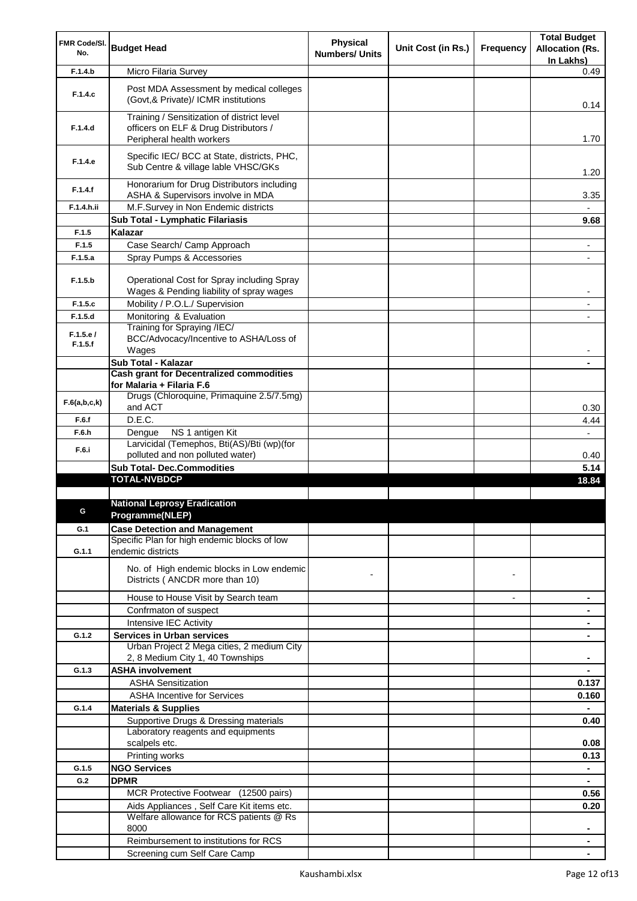| FMR Code/SI.        |                                                                                        | Physical              |                    |                          | <b>Total Budget</b>                 |
|---------------------|----------------------------------------------------------------------------------------|-----------------------|--------------------|--------------------------|-------------------------------------|
| No.                 | <b>Budget Head</b>                                                                     | <b>Numbers/ Units</b> | Unit Cost (in Rs.) | Frequency                | <b>Allocation (Rs.</b><br>In Lakhs) |
| F.1.4.b             | Micro Filaria Survey                                                                   |                       |                    |                          | 0.49                                |
|                     |                                                                                        |                       |                    |                          |                                     |
| F.1.4.c             | Post MDA Assessment by medical colleges<br>(Govt, & Private)/ ICMR institutions        |                       |                    |                          | 0.14                                |
| F.1.4.d             | Training / Sensitization of district level<br>officers on ELF & Drug Distributors /    |                       |                    |                          |                                     |
|                     | Peripheral health workers                                                              |                       |                    |                          | 1.70                                |
|                     | Specific IEC/ BCC at State, districts, PHC,                                            |                       |                    |                          |                                     |
| F.1.4.e             | Sub Centre & village lable VHSC/GKs                                                    |                       |                    |                          | 1.20                                |
| F.1.4.f             | Honorarium for Drug Distributors including                                             |                       |                    |                          |                                     |
| F.1.4.h.ii          | ASHA & Supervisors involve in MDA<br>M.F.Survey in Non Endemic districts               |                       |                    |                          | 3.35                                |
|                     | Sub Total - Lymphatic Filariasis                                                       |                       |                    |                          | 9.68                                |
| F.1.5               | Kalazar                                                                                |                       |                    |                          |                                     |
| F.1.5               | Case Search/ Camp Approach                                                             |                       |                    |                          |                                     |
| F.1.5.a             |                                                                                        |                       |                    |                          | ۰                                   |
|                     | Spray Pumps & Accessories                                                              |                       |                    |                          |                                     |
| F.1.5.b             | Operational Cost for Spray including Spray<br>Wages & Pending liability of spray wages |                       |                    |                          | -                                   |
| F.1.5.c             | Mobility / P.O.L./ Supervision                                                         |                       |                    |                          | ٠                                   |
| F.1.5.d             | Monitoring & Evaluation                                                                |                       |                    |                          |                                     |
|                     | Training for Spraying /IEC/                                                            |                       |                    |                          |                                     |
| F.1.5.e/<br>F.1.5.f | BCC/Advocacy/Incentive to ASHA/Loss of<br>Wages                                        |                       |                    |                          |                                     |
|                     | Sub Total - Kalazar                                                                    |                       |                    |                          |                                     |
|                     | <b>Cash grant for Decentralized commodities</b>                                        |                       |                    |                          |                                     |
|                     | for Malaria + Filaria F.6                                                              |                       |                    |                          |                                     |
| F.6(a,b,c,k)        | Drugs (Chloroquine, Primaquine 2.5/7.5mg)<br>and ACT                                   |                       |                    |                          | 0.30                                |
| F.6.f               | D.E.C.                                                                                 |                       |                    |                          | 4.44                                |
| F.6.h               | NS 1 antigen Kit<br>Dengue                                                             |                       |                    |                          | $\overline{\phantom{0}}$            |
| F.6.i               | Larvicidal (Temephos, Bti(AS)/Bti (wp)(for                                             |                       |                    |                          |                                     |
|                     | polluted and non polluted water)                                                       |                       |                    |                          | 0.40                                |
|                     | <b>Sub Total- Dec.Commodities</b><br><b>TOTAL-NVBDCP</b>                               |                       |                    |                          | 5.14                                |
|                     |                                                                                        |                       |                    |                          | 18.84                               |
|                     | <b>National Leprosy Eradication</b>                                                    |                       |                    |                          |                                     |
|                     | Programme(NLEP)                                                                        |                       |                    |                          |                                     |
| G.1                 | <b>Case Detection and Management</b>                                                   |                       |                    |                          |                                     |
|                     | Specific Plan for high endemic blocks of low                                           |                       |                    |                          |                                     |
| G.1.1               | endemic districts                                                                      |                       |                    |                          |                                     |
|                     | No. of High endemic blocks in Low endemic                                              |                       |                    |                          |                                     |
|                     | Districts (ANCDR more than 10)                                                         |                       |                    | $\blacksquare$           |                                     |
|                     | House to House Visit by Search team                                                    |                       |                    | $\overline{\phantom{a}}$ | ٠                                   |
|                     | Confrmaton of suspect                                                                  |                       |                    |                          |                                     |
|                     | Intensive IEC Activity                                                                 |                       |                    |                          |                                     |
| G.1.2               | <b>Services in Urban services</b>                                                      |                       |                    |                          |                                     |
|                     | Urban Project 2 Mega cities, 2 medium City                                             |                       |                    |                          |                                     |
|                     | 2, 8 Medium City 1, 40 Townships                                                       |                       |                    |                          | ۰                                   |
| G.1.3               | <b>ASHA involvement</b>                                                                |                       |                    |                          | $\blacksquare$                      |
|                     | <b>ASHA Sensitization</b>                                                              |                       |                    |                          | 0.137                               |
|                     | <b>ASHA Incentive for Services</b>                                                     |                       |                    |                          | 0.160                               |
| G.1.4               | <b>Materials &amp; Supplies</b>                                                        |                       |                    |                          | ۰                                   |
|                     | Supportive Drugs & Dressing materials                                                  |                       |                    |                          | 0.40                                |
|                     | Laboratory reagents and equipments                                                     |                       |                    |                          |                                     |
|                     | scalpels etc.                                                                          |                       |                    |                          | 0.08                                |
|                     | Printing works                                                                         |                       |                    |                          | 0.13                                |
| G.1.5               | <b>NGO Services</b>                                                                    |                       |                    |                          | $\blacksquare$                      |
| G.2                 | <b>DPMR</b>                                                                            |                       |                    |                          |                                     |
|                     | MCR Protective Footwear (12500 pairs)                                                  |                       |                    |                          | 0.56                                |
|                     | Aids Appliances, Self Care Kit items etc.                                              |                       |                    |                          | 0.20                                |
|                     | Welfare allowance for RCS patients @ Rs                                                |                       |                    |                          |                                     |
|                     | 8000                                                                                   |                       |                    |                          | ۰                                   |
|                     | Reimbursement to institutions for RCS                                                  |                       |                    |                          |                                     |
|                     | Screening cum Self Care Camp                                                           |                       |                    |                          |                                     |